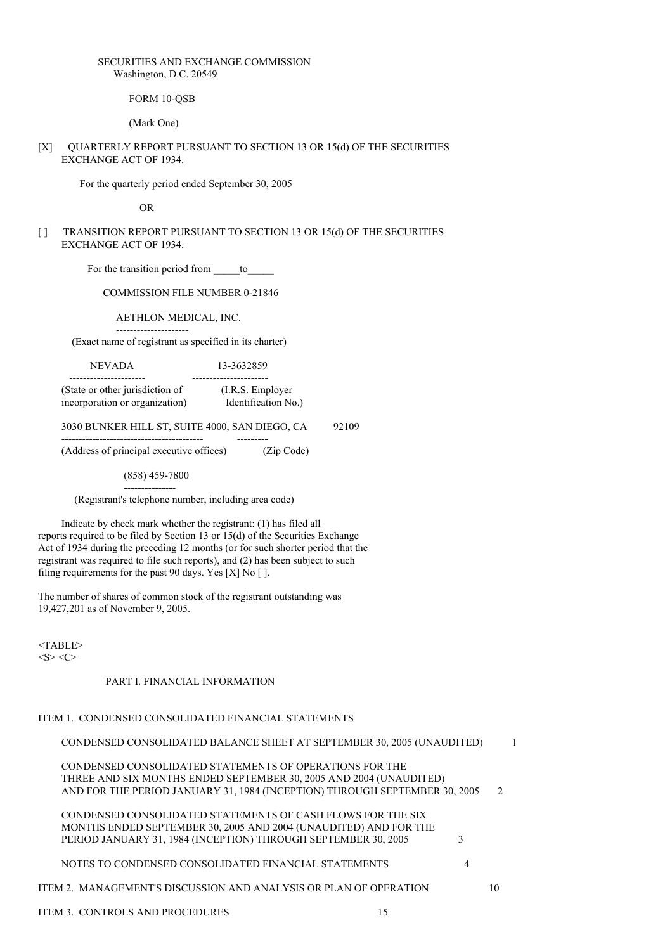#### SECURITIES AND EXCHANGE COMMISSION Washington, D.C. 20549

FORM 10-QSB

(Mark One)

[X] QUARTERLY REPORT PURSUANT TO SECTION 13 OR 15(d) OF THE SECURITIES EXCHANGE ACT OF 1934.

For the quarterly period ended September 30, 2005

OR

[1] TRANSITION REPORT PURSUANT TO SECTION 13 OR 15(d) OF THE SECURITIES EXCHANGE ACT OF 1934.

For the transition period from to

COMMISSION FILE NUMBER 0-21846

AETHLON MEDICAL, INC.

(Exact name of registrant as specified in its charter)

NEVADA 13-3632859 ---------------------- ----------------------

---------------------

(State or other jurisdiction of (I.R.S. Employer incorporation or organization) Identification No.)

3030 BUNKER HILL ST, SUITE 4000, SAN DIEGO, CA 92109

(Address of principal executive offices) (Zip Code)

(858) 459-7800 ---------------

----------------------------------------- ---------

(Registrant's telephone number, including area code)

Indicate by check mark whether the registrant: (1) has filed all reports required to be filed by Section 13 or 15(d) of the Securities Exchange Act of 1934 during the preceding 12 months (or for such shorter period that the registrant was required to file such reports), and (2) has been subject to such filing requirements for the past 90 days. Yes  $[X]$  No  $[$ ].

The number of shares of common stock of the registrant outstanding was 19,427,201 as of November 9, 2005.

<TABLE>  $<\leq$   $<$   $<$   $<$   $<$   $>$ 

## PART I. FINANCIAL INFORMATION

# ITEM 1. CONDENSED CONSOLIDATED FINANCIAL STATEMENTS CONDENSED CONSOLIDATED BALANCE SHEET AT SEPTEMBER 30, 2005 (UNAUDITED) 1 CONDENSED CONSOLIDATED STATEMENTS OF OPERATIONS FOR THE THREE AND SIX MONTHS ENDED SEPTEMBER 30, 2005 AND 2004 (UNAUDITED) AND FOR THE PERIOD JANUARY 31, 1984 (INCEPTION) THROUGH SEPTEMBER 30, 2005 2 CONDENSED CONSOLIDATED STATEMENTS OF CASH FLOWS FOR THE SIX MONTHS ENDED SEPTEMBER 30, 2005 AND 2004 (UNAUDITED) AND FOR THE PERIOD JANUARY 31, 1984 (INCEPTION) THROUGH SEPTEMBER 30, 2005 3 NOTES TO CONDENSED CONSOLIDATED FINANCIAL STATEMENTS 4 ITEM 2. MANAGEMENT'S DISCUSSION AND ANALYSIS OR PLAN OF OPERATION 10

ITEM 3. CONTROLS AND PROCEDURES 15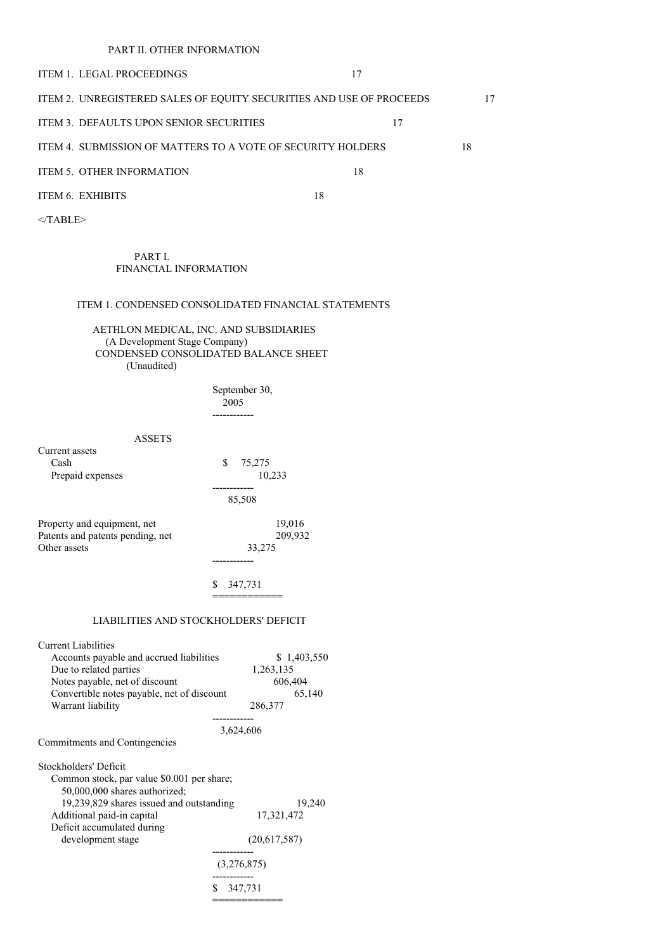# PART II. OTHER INFORMATION

|                  | ITEM 1. LEGAL PROCEEDINGS                                           |    |    |    |
|------------------|---------------------------------------------------------------------|----|----|----|
|                  | ITEM 2. UNREGISTERED SALES OF EQUITY SECURITIES AND USE OF PROCEEDS |    |    | 17 |
|                  | <b>ITEM 3. DEFAULTS UPON SENIOR SECURITIES</b>                      |    | 17 |    |
|                  | ITEM 4. SUBMISSION OF MATTERS TO A VOTE OF SECURITY HOLDERS         |    |    | 18 |
|                  | <b>ITEM 5. OTHER INFORMATION</b>                                    | 18 |    |    |
|                  | <b>ITEM 6. EXHIBITS</b>                                             | 18 |    |    |
| $\langle$ TABLE> |                                                                     |    |    |    |

PART I. FINANCIAL INFORMATION

# ITEM 1. CONDENSED CONSOLIDATED FINANCIAL STATEMENTS

# AETHLON MEDICAL, INC. AND SUBSIDIARIES (A Development Stage Company) CONDENSED CONSOLIDATED BALANCE SHEET (Unaudited)

|                                                                                                                                                                                                       | September 30,<br>2005                                    |
|-------------------------------------------------------------------------------------------------------------------------------------------------------------------------------------------------------|----------------------------------------------------------|
|                                                                                                                                                                                                       |                                                          |
| <b>ASSETS</b><br>Current assets                                                                                                                                                                       |                                                          |
| Cash<br>Prepaid expenses                                                                                                                                                                              | \$75,275<br>10,233                                       |
|                                                                                                                                                                                                       | 85,508                                                   |
| Property and equipment, net<br>Patents and patents pending, net<br>Other assets                                                                                                                       | 19,016<br>209,932<br>33,275                              |
|                                                                                                                                                                                                       | \$347,731                                                |
|                                                                                                                                                                                                       | LIABILITIES AND STOCKHOLDERS' DEFICIT                    |
| <b>Current Liabilities</b><br>Accounts payable and accrued liabilities<br>Due to related parties<br>Notes payable, net of discount<br>Convertible notes payable, net of discount<br>Warrant liability | \$1,403,550<br>1,263,135<br>606,404<br>65,140<br>286,377 |
|                                                                                                                                                                                                       | ----------<br>3,624,606                                  |
| Commitments and Contingencies                                                                                                                                                                         |                                                          |
| Stockholders' Deficit<br>Common stock, par value \$0.001 per share;<br>50,000,000 shares authorized;<br>19,239,829 shares issued and outstanding<br>Additional paid-in capital                        | 19,240<br>17,321,472                                     |
| Deficit accumulated during<br>development stage                                                                                                                                                       | (20,617,587)                                             |
|                                                                                                                                                                                                       |                                                          |
|                                                                                                                                                                                                       | (3,276,875)                                              |
|                                                                                                                                                                                                       | \$347,731                                                |
|                                                                                                                                                                                                       |                                                          |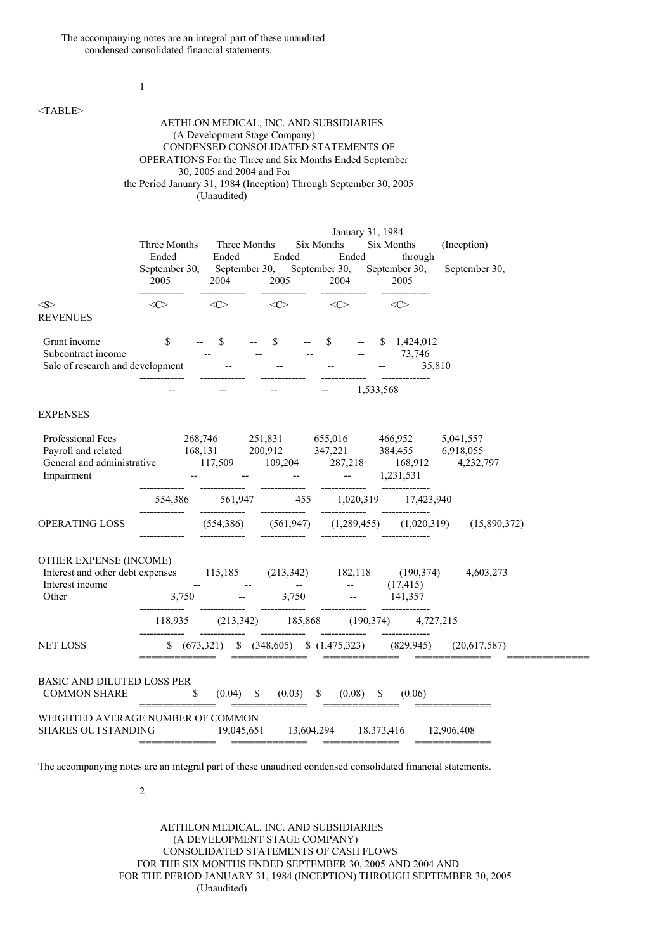The accompanying notes are an integral part of these unaudited condensed consolidated financial statements.

#### <TABLE>

#### AETHLON MEDICAL, INC. AND SUBSIDIARIES (A Development Stage Company) CONDENSED CONSOLIDATED STATEMENTS OF OPERATIONS For the Three and Six Months Ended September 30, 2005 and 2004 and For the Period January 31, 1984 (Inception) Through September 30, 2005 (Unaudited)

January 31, 1984 Three Months Three Months Six Months Six Months (Inception) Ended Ended Ended Ended through September 30, September 30, September 30, September 30, September 30, 2005 2004 2005 2004 2005 ------------- ------------- ------------- ------------- --------------  $\langle S \rangle$   $\langle \langle \rangle$   $\langle \langle \rangle$   $\langle \langle \rangle$   $\langle \langle \rangle$ REVENUES Grant income  $\begin{array}{ccccccccccccc}\n\text{S} & - & \text{S} & - & \text{S} & - & \text{S} & - & \text{S} & - & \text{S} & 1,424,012\n\end{array}$ Subcontract income  $\qquad \qquad -- \qquad -- \qquad -- \qquad -- \qquad \qquad -2,746$ Sale of research and development -- -- -- -- -- -- -- 35,810 ------------- ------------- ------------- ------------- -------------- -- - - - - 1,533,568 EXPENSES Professional Fees 268,746 251,831 655,016 466,952 5,041,557 Payroll and related 168,131 200,912 347,221 384,455 6,918,055<br>General and administrative 117,509 109,204 287,218 168,912 4.232. General and administrative 117,509 109,204 287,218 168,912 4,232,797 Impairment -- - - - - - - 1,231,531 ------------- ------------- ------------- ------------- -------------- 554,386 561,947 455 1,020,319 17,423,940 ------------- ------------- ------------- ------------- -------------- OPERATING LOSS (554,386) (561,947) (1,289,455) (1,020,319) (15,890,372) ------------- ------------- ------------- ------------- -------------- OTHER EXPENSE (INCOME) Interest and other debt expenses 115,185 (213,342) 182,118 (190,374) 4,603,273 Interest income  $\qquad \qquad -- \qquad -- \qquad -- \qquad -- \qquad (17,415)$ Other 3,750 -- 3,750 -- 141,357 ------------- ------------- ------------- ------------- -------------- 118,935 (213,342) 185,868 (190,374) 4,727,215 ------------- ------------- ------------- ------------- -------------- NET LOSS \$ (673,321) \$ (348,605) \$ (1,475,323) (829,945) (20,617,587) ============= ============= ============= ============= ============== BASIC AND DILUTED LOSS PER COMMON SHARE \$ (0.04) \$ (0.03) \$ (0.08) \$ (0.06) ============= ============= ============= ============= WEIGHTED AVERAGE NUMBER OF COMMON SHARES OUTSTANDING 19,045,651 13,604,294 18,373,416 12,906,408 ============= ============= ============= =============

The accompanying notes are an integral part of these unaudited condensed consolidated financial statements.

 $\mathcal{D}$ 

AETHLON MEDICAL, INC. AND SUBSIDIARIES (A DEVELOPMENT STAGE COMPANY) CONSOLIDATED STATEMENTS OF CASH FLOWS FOR THE SIX MONTHS ENDED SEPTEMBER 30, 2005 AND 2004 AND FOR THE PERIOD JANUARY 31, 1984 (INCEPTION) THROUGH SEPTEMBER 30, 2005 (Unaudited)

1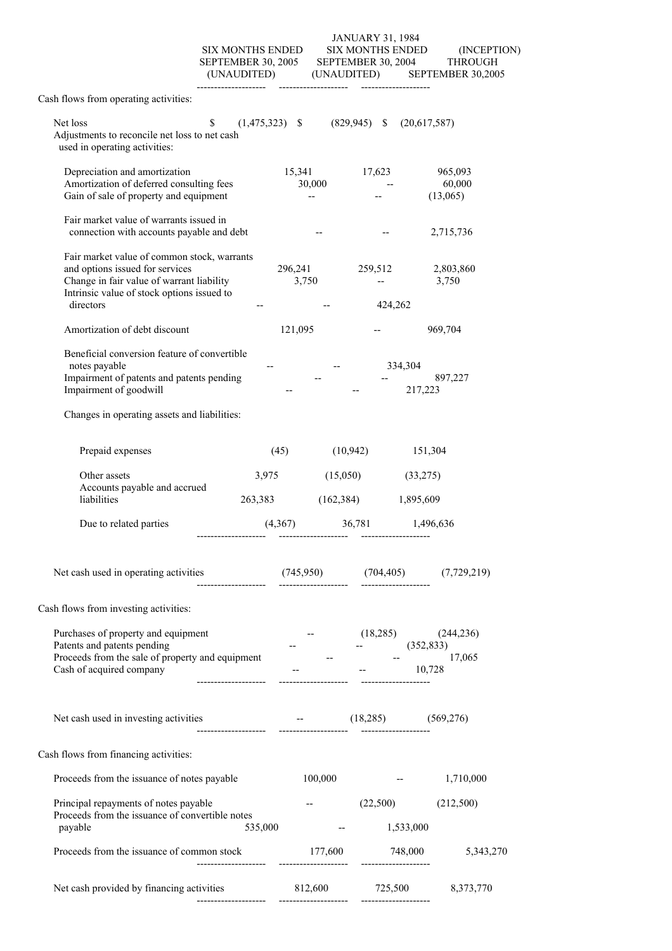|                                                                                                                                                                                        | SIX MONTHS ENDED<br>SEPTEMBER 30, 2005 SEPTEMBER 30, 2004 THROUGH (UNAUDITED) (UNAUDITED) SEPTEMBER 30,2005 |                                                                         | JANUARY 31, 1984<br><b>SIX MONTHS ENDED</b>                      |                               | (INCEPTION) |
|----------------------------------------------------------------------------------------------------------------------------------------------------------------------------------------|-------------------------------------------------------------------------------------------------------------|-------------------------------------------------------------------------|------------------------------------------------------------------|-------------------------------|-------------|
| Cash flows from operating activities:                                                                                                                                                  |                                                                                                             |                                                                         |                                                                  |                               |             |
| Net loss<br>Adjustments to reconcile net loss to net cash<br>used in operating activities:                                                                                             | \$                                                                                                          |                                                                         | $(1,475,323)$ \$ $(829,945)$ \$ $(20,617,587)$                   |                               |             |
| Depreciation and amortization<br>Amortization of deferred consulting fees<br>Gain of sale of property and equipment                                                                    |                                                                                                             | 15,341<br>30,000<br>$\hspace{0.05cm} -\hspace{0.05cm} -\hspace{0.05cm}$ | 17,623                                                           | 965,093<br>60,000<br>(13,065) |             |
| Fair market value of warrants issued in<br>connection with accounts payable and debt                                                                                                   |                                                                                                             |                                                                         |                                                                  | 2,715,736                     |             |
| Fair market value of common stock, warrants<br>and options issued for services<br>Change in fair value of warrant liability<br>Intrinsic value of stock options issued to<br>directors |                                                                                                             | 3,750                                                                   | 296,241 259,512 2,803,860<br>424,262                             | $-3,750$                      |             |
|                                                                                                                                                                                        |                                                                                                             |                                                                         |                                                                  |                               |             |
| Amortization of debt discount                                                                                                                                                          |                                                                                                             | 121,095                                                                 |                                                                  | 969,704                       |             |
| Beneficial conversion feature of convertible<br>notes payable<br>Impairment of patents and patents pending<br>Impairment of goodwill                                                   |                                                                                                             |                                                                         | 334,304                                                          | 897,227<br>217,223            |             |
| Changes in operating assets and liabilities:                                                                                                                                           |                                                                                                             |                                                                         |                                                                  |                               |             |
| Prepaid expenses                                                                                                                                                                       | (45)                                                                                                        |                                                                         | (10, 942)                                                        | 151,304                       |             |
| Other assets<br>Accounts payable and accrued<br>liabilities                                                                                                                            | 3,975<br>263,383                                                                                            |                                                                         | (15,050)<br>$(162,384)$ 1,895,609                                | (33,275)                      |             |
| Due to related parties                                                                                                                                                                 | (4,367)                                                                                                     |                                                                         | 36,781                                                           | 1,496,636                     |             |
| Net cash used in operating activities (745,950) (704,405) (7,729,219)                                                                                                                  | -------------------                                                                                         |                                                                         |                                                                  |                               |             |
| Cash flows from investing activities:                                                                                                                                                  |                                                                                                             |                                                                         |                                                                  |                               |             |
| Purchases of property and equipment<br>Patents and patents pending<br>Proceeds from the sale of property and equipment<br>Cash of acquired company                                     |                                                                                                             |                                                                         | $(18,285)$ $(244,236)$<br>$ (332,000)$<br>$ 17,065$<br>$ 10,728$ | $-$ (352,833)                 |             |
| Net cash used in investing activities                                                                                                                                                  |                                                                                                             |                                                                         |                                                                  |                               |             |
| Cash flows from financing activities:                                                                                                                                                  |                                                                                                             |                                                                         |                                                                  |                               |             |
| Proceeds from the issuance of notes payable                                                                                                                                            |                                                                                                             |                                                                         | $100,000$ -- $1,710,000$                                         |                               |             |
| Principal repayments of notes payable<br>Proceeds from the issuance of convertible notes<br>payable                                                                                    | 535,000                                                                                                     |                                                                         | $(22,500)$ $(212,500)$<br>$-1,533,000$                           |                               |             |
| Proceeds from the issuance of common stock 177,600 748,000 5,343,270                                                                                                                   |                                                                                                             |                                                                         | --------------------                                             |                               |             |
|                                                                                                                                                                                        |                                                                                                             |                                                                         |                                                                  |                               |             |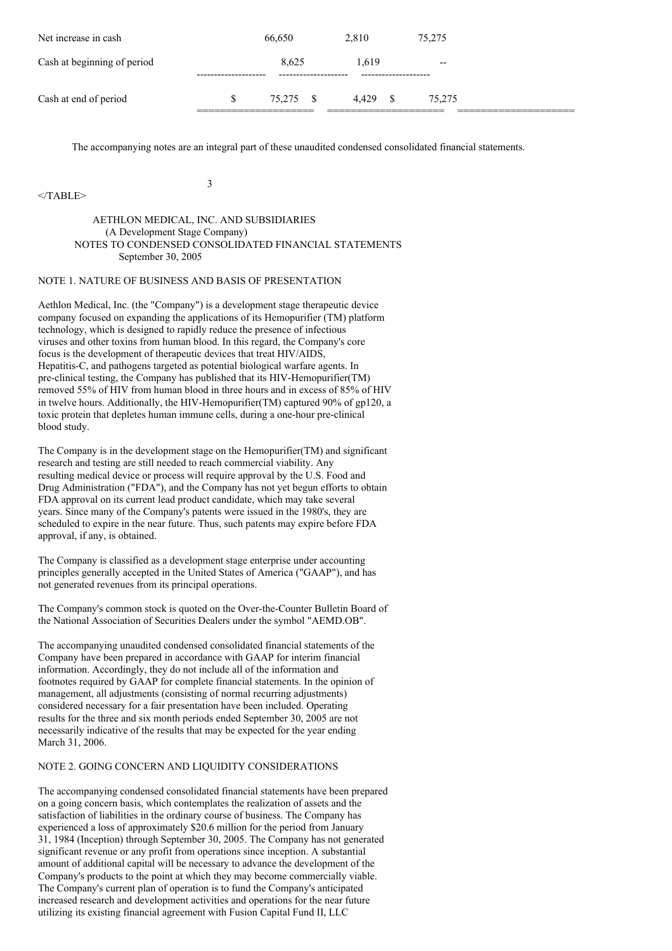| Net increase in cash        | 66,650    | 2.810 | 75.275        |  |
|-----------------------------|-----------|-------|---------------|--|
| Cash at beginning of period | 8.625     | 1.619 | $- -$         |  |
| Cash at end of period       | 75,275 \$ | 4.429 | 75,275<br>- S |  |

The accompanying notes are an integral part of these unaudited condensed consolidated financial statements.

 $\langle$ TABLE>

# AETHLON MEDICAL, INC. AND SUBSIDIARIES (A Development Stage Company) NOTES TO CONDENSED CONSOLIDATED FINANCIAL STATEMENTS September 30, 2005

# NOTE 1. NATURE OF BUSINESS AND BASIS OF PRESENTATION

3

Aethlon Medical, Inc. (the "Company") is a development stage therapeutic device company focused on expanding the applications of its Hemopurifier (TM) platform technology, which is designed to rapidly reduce the presence of infectious viruses and other toxins from human blood. In this regard, the Company's core focus is the development of therapeutic devices that treat HIV/AIDS, Hepatitis-C, and pathogens targeted as potential biological warfare agents. In pre-clinical testing, the Company has published that its HIV-Hemopurifier(TM) removed 55% of HIV from human blood in three hours and in excess of 85% of HIV in twelve hours. Additionally, the HIV-Hemopurifier(TM) captured 90% of gp120, a toxic protein that depletes human immune cells, during a one-hour pre-clinical blood study.

The Company is in the development stage on the Hemopurifier(TM) and significant research and testing are still needed to reach commercial viability. Any resulting medical device or process will require approval by the U.S. Food and Drug Administration ("FDA"), and the Company has not yet begun efforts to obtain FDA approval on its current lead product candidate, which may take several years. Since many of the Company's patents were issued in the 1980's, they are scheduled to expire in the near future. Thus, such patents may expire before FDA approval, if any, is obtained.

The Company is classified as a development stage enterprise under accounting principles generally accepted in the United States of America ("GAAP"), and has not generated revenues from its principal operations.

The Company's common stock is quoted on the Over-the-Counter Bulletin Board of the National Association of Securities Dealers under the symbol "AEMD.OB".

The accompanying unaudited condensed consolidated financial statements of the Company have been prepared in accordance with GAAP for interim financial information. Accordingly, they do not include all of the information and footnotes required by GAAP for complete financial statements. In the opinion of management, all adjustments (consisting of normal recurring adjustments) considered necessary for a fair presentation have been included. Operating results for the three and six month periods ended September 30, 2005 are not necessarily indicative of the results that may be expected for the year ending March 31, 2006.

#### NOTE 2. GOING CONCERN AND LIQUIDITY CONSIDERATIONS

The accompanying condensed consolidated financial statements have been prepared on a going concern basis, which contemplates the realization of assets and the satisfaction of liabilities in the ordinary course of business. The Company has experienced a loss of approximately \$20.6 million for the period from January 31, 1984 (Inception) through September 30, 2005. The Company has not generated significant revenue or any profit from operations since inception. A substantial amount of additional capital will be necessary to advance the development of the Company's products to the point at which they may become commercially viable. The Company's current plan of operation is to fund the Company's anticipated increased research and development activities and operations for the near future utilizing its existing financial agreement with Fusion Capital Fund II, LLC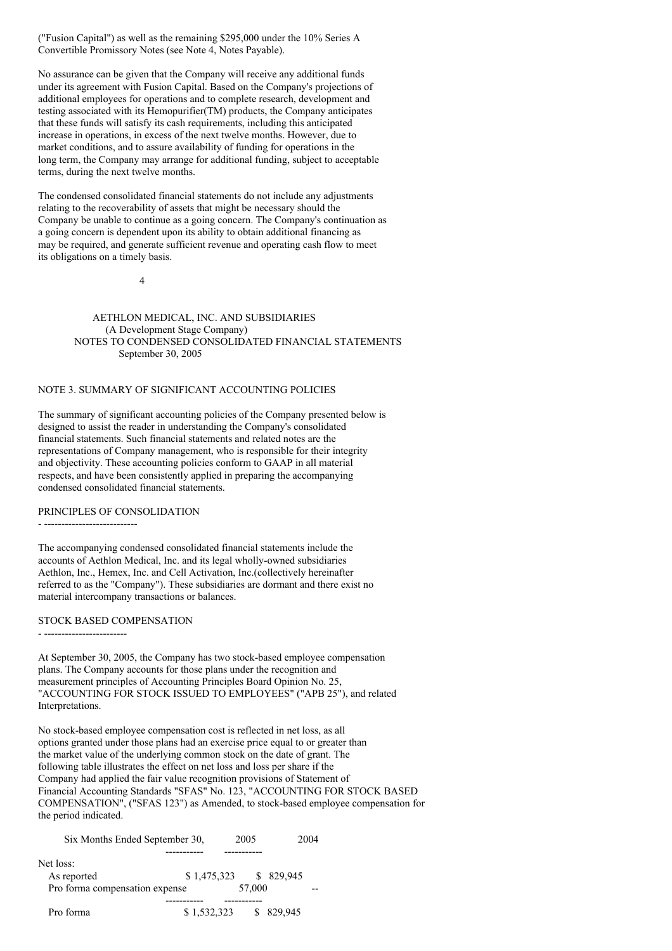("Fusion Capital") as well as the remaining \$295,000 under the 10% Series A Convertible Promissory Notes (see Note 4, Notes Payable).

No assurance can be given that the Company will receive any additional funds under its agreement with Fusion Capital. Based on the Company's projections of additional employees for operations and to complete research, development and testing associated with its Hemopurifier(TM) products, the Company anticipates that these funds will satisfy its cash requirements, including this anticipated increase in operations, in excess of the next twelve months. However, due to market conditions, and to assure availability of funding for operations in the long term, the Company may arrange for additional funding, subject to acceptable terms, during the next twelve months.

The condensed consolidated financial statements do not include any adjustments relating to the recoverability of assets that might be necessary should the Company be unable to continue as a going concern. The Company's continuation as a going concern is dependent upon its ability to obtain additional financing as may be required, and generate sufficient revenue and operating cash flow to meet its obligations on a timely basis.

4

AETHLON MEDICAL, INC. AND SUBSIDIARIES (A Development Stage Company) NOTES TO CONDENSED CONSOLIDATED FINANCIAL STATEMENTS September 30, 2005

## NOTE 3. SUMMARY OF SIGNIFICANT ACCOUNTING POLICIES

The summary of significant accounting policies of the Company presented below is designed to assist the reader in understanding the Company's consolidated financial statements. Such financial statements and related notes are the representations of Company management, who is responsible for their integrity and objectivity. These accounting policies conform to GAAP in all material respects, and have been consistently applied in preparing the accompanying condensed consolidated financial statements.

## PRINCIPLES OF CONSOLIDATION

- ---------------------------

The accompanying condensed consolidated financial statements include the accounts of Aethlon Medical, Inc. and its legal wholly-owned subsidiaries Aethlon, Inc., Hemex, Inc. and Cell Activation, Inc.(collectively hereinafter referred to as the "Company"). These subsidiaries are dormant and there exist no material intercompany transactions or balances.

#### STOCK BASED COMPENSATION

- ------------------------

At September 30, 2005, the Company has two stock-based employee compensation plans. The Company accounts for those plans under the recognition and measurement principles of Accounting Principles Board Opinion No. 25, "ACCOUNTING FOR STOCK ISSUED TO EMPLOYEES" ("APB 25"), and related Interpretations.

No stock-based employee compensation cost is reflected in net loss, as all options granted under those plans had an exercise price equal to or greater than the market value of the underlying common stock on the date of grant. The following table illustrates the effect on net loss and loss per share if the Company had applied the fair value recognition provisions of Statement of Financial Accounting Standards "SFAS" No. 123, "ACCOUNTING FOR STOCK BASED COMPENSATION", ("SFAS 123") as Amended, to stock-based employee compensation for the period indicated.

|                                | Six Months Ended September 30, |        |            | 2004 |
|--------------------------------|--------------------------------|--------|------------|------|
|                                |                                |        |            |      |
| Net loss:                      |                                |        |            |      |
| As reported                    | \$1,475,323                    |        | \$ 829,945 |      |
| Pro forma compensation expense |                                | 57,000 |            |      |
|                                |                                |        |            |      |
| Pro forma                      | \$1,532,323                    |        | 829.945    |      |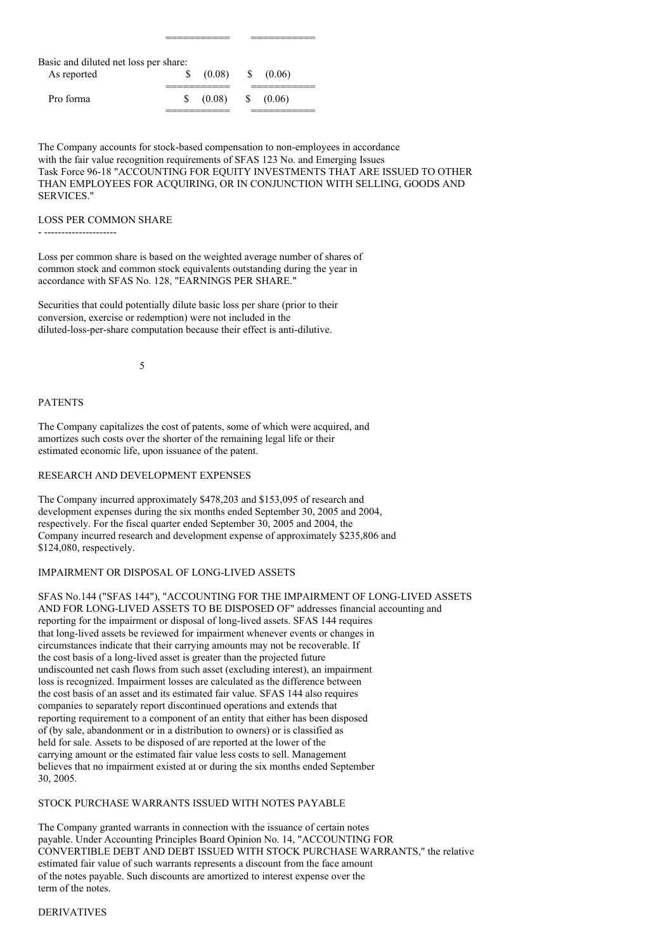| Basic and diluted net loss per share: |    |        |             |        |
|---------------------------------------|----|--------|-------------|--------|
| As reported                           |    | (0.08) | -SI         | (0.06) |
| Pro forma                             | S. | (0.08) | $S_{\cdot}$ | (0.06) |

The Company accounts for stock-based compensation to non-employees in accordance with the fair value recognition requirements of SFAS 123 No. and Emerging Issues Task Force 96-18 "ACCOUNTING FOR EQUITY INVESTMENTS THAT ARE ISSUED TO OTHER THAN EMPLOYEES FOR ACQUIRING, OR IN CONJUNCTION WITH SELLING, GOODS AND SERVICES."

=========== ===========

#### LOSS PER COMMON SHARE

#### - ---------------------

Loss per common share is based on the weighted average number of shares of common stock and common stock equivalents outstanding during the year in accordance with SFAS No. 128, "EARNINGS PER SHARE."

Securities that could potentially dilute basic loss per share (prior to their conversion, exercise or redemption) were not included in the diluted-loss-per-share computation because their effect is anti-dilutive.

5

# PATENTS

The Company capitalizes the cost of patents, some of which were acquired, and amortizes such costs over the shorter of the remaining legal life or their estimated economic life, upon issuance of the patent.

#### RESEARCH AND DEVELOPMENT EXPENSES

The Company incurred approximately \$478,203 and \$153,095 of research and development expenses during the six months ended September 30, 2005 and 2004, respectively. For the fiscal quarter ended September 30, 2005 and 2004, the Company incurred research and development expense of approximately \$235,806 and \$124,080, respectively.

#### IMPAIRMENT OR DISPOSAL OF LONG-LIVED ASSETS

SFAS No.144 ("SFAS 144"), "ACCOUNTING FOR THE IMPAIRMENT OF LONG-LIVED ASSETS AND FOR LONG-LIVED ASSETS TO BE DISPOSED OF" addresses financial accounting and reporting for the impairment or disposal of long-lived assets. SFAS 144 requires that long-lived assets be reviewed for impairment whenever events or changes in circumstances indicate that their carrying amounts may not be recoverable. If the cost basis of a long-lived asset is greater than the projected future undiscounted net cash flows from such asset (excluding interest), an impairment loss is recognized. Impairment losses are calculated as the difference between the cost basis of an asset and its estimated fair value. SFAS 144 also requires companies to separately report discontinued operations and extends that reporting requirement to a component of an entity that either has been disposed of (by sale, abandonment or in a distribution to owners) or is classified as held for sale. Assets to be disposed of are reported at the lower of the carrying amount or the estimated fair value less costs to sell. Management believes that no impairment existed at or during the six months ended September 30, 2005.

#### STOCK PURCHASE WARRANTS ISSUED WITH NOTES PAYABLE

The Company granted warrants in connection with the issuance of certain notes payable. Under Accounting Principles Board Opinion No. 14, "ACCOUNTING FOR CONVERTIBLE DEBT AND DEBT ISSUED WITH STOCK PURCHASE WARRANTS," the relative estimated fair value of such warrants represents a discount from the face amount of the notes payable. Such discounts are amortized to interest expense over the term of the notes.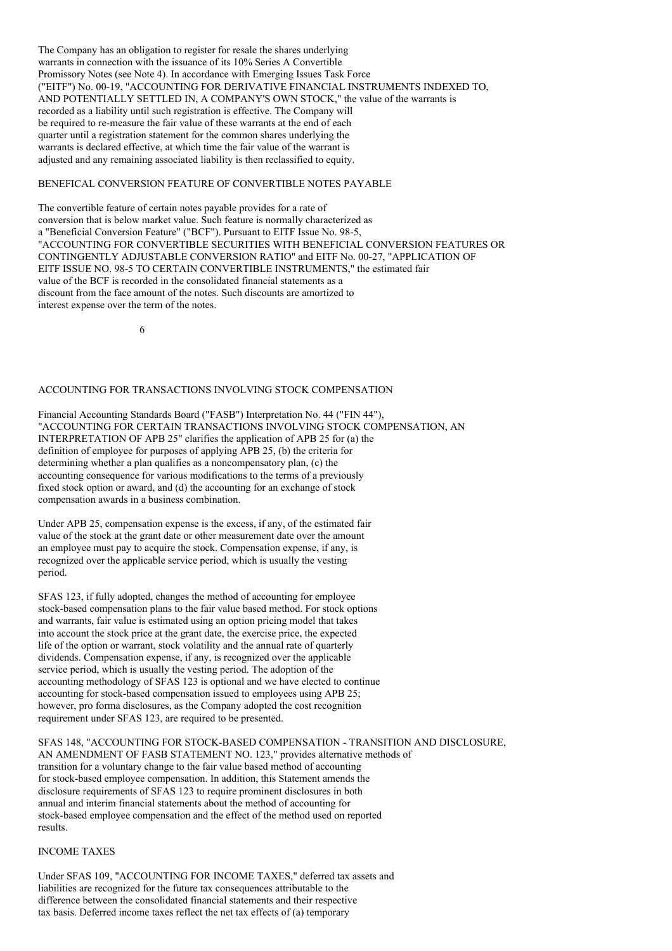The Company has an obligation to register for resale the shares underlying warrants in connection with the issuance of its 10% Series A Convertible Promissory Notes (see Note 4). In accordance with Emerging Issues Task Force ("EITF") No. 00-19, "ACCOUNTING FOR DERIVATIVE FINANCIAL INSTRUMENTS INDEXED TO, AND POTENTIALLY SETTLED IN, A COMPANY'S OWN STOCK," the value of the warrants is recorded as a liability until such registration is effective. The Company will be required to re-measure the fair value of these warrants at the end of each quarter until a registration statement for the common shares underlying the warrants is declared effective, at which time the fair value of the warrant is adjusted and any remaining associated liability is then reclassified to equity.

## BENEFICAL CONVERSION FEATURE OF CONVERTIBLE NOTES PAYABLE

The convertible feature of certain notes payable provides for a rate of conversion that is below market value. Such feature is normally characterized as a "Beneficial Conversion Feature" ("BCF"). Pursuant to EITF Issue No. 98-5, "ACCOUNTING FOR CONVERTIBLE SECURITIES WITH BENEFICIAL CONVERSION FEATURES OR CONTINGENTLY ADJUSTABLE CONVERSION RATIO" and EITF No. 00-27, "APPLICATION OF EITF ISSUE NO. 98-5 TO CERTAIN CONVERTIBLE INSTRUMENTS," the estimated fair value of the BCF is recorded in the consolidated financial statements as a discount from the face amount of the notes. Such discounts are amortized to interest expense over the term of the notes.

6

# ACCOUNTING FOR TRANSACTIONS INVOLVING STOCK COMPENSATION

Financial Accounting Standards Board ("FASB") Interpretation No. 44 ("FIN 44"), "ACCOUNTING FOR CERTAIN TRANSACTIONS INVOLVING STOCK COMPENSATION, AN INTERPRETATION OF APB 25" clarifies the application of APB 25 for (a) the definition of employee for purposes of applying APB 25, (b) the criteria for determining whether a plan qualifies as a noncompensatory plan, (c) the accounting consequence for various modifications to the terms of a previously fixed stock option or award, and (d) the accounting for an exchange of stock compensation awards in a business combination.

Under APB 25, compensation expense is the excess, if any, of the estimated fair value of the stock at the grant date or other measurement date over the amount an employee must pay to acquire the stock. Compensation expense, if any, is recognized over the applicable service period, which is usually the vesting period.

SFAS 123, if fully adopted, changes the method of accounting for employee stock-based compensation plans to the fair value based method. For stock options and warrants, fair value is estimated using an option pricing model that takes into account the stock price at the grant date, the exercise price, the expected life of the option or warrant, stock volatility and the annual rate of quarterly dividends. Compensation expense, if any, is recognized over the applicable service period, which is usually the vesting period. The adoption of the accounting methodology of SFAS 123 is optional and we have elected to continue accounting for stock-based compensation issued to employees using APB 25; however, pro forma disclosures, as the Company adopted the cost recognition requirement under SFAS 123, are required to be presented.

SFAS 148, "ACCOUNTING FOR STOCK-BASED COMPENSATION - TRANSITION AND DISCLOSURE, AN AMENDMENT OF FASB STATEMENT NO. 123," provides alternative methods of transition for a voluntary change to the fair value based method of accounting for stock-based employee compensation. In addition, this Statement amends the disclosure requirements of SFAS 123 to require prominent disclosures in both annual and interim financial statements about the method of accounting for stock-based employee compensation and the effect of the method used on reported results.

## INCOME TAXES

Under SFAS 109, "ACCOUNTING FOR INCOME TAXES," deferred tax assets and liabilities are recognized for the future tax consequences attributable to the difference between the consolidated financial statements and their respective tax basis. Deferred income taxes reflect the net tax effects of (a) temporary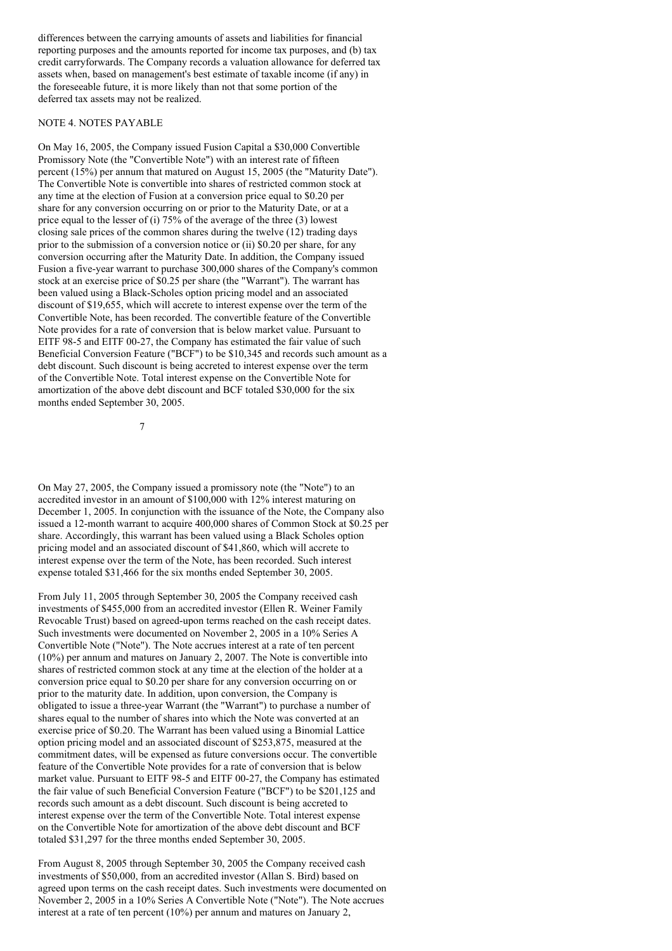differences between the carrying amounts of assets and liabilities for financial reporting purposes and the amounts reported for income tax purposes, and (b) tax credit carryforwards. The Company records a valuation allowance for deferred tax assets when, based on management's best estimate of taxable income (if any) in the foreseeable future, it is more likely than not that some portion of the deferred tax assets may not be realized.

## NOTE 4. NOTES PAYABLE

On May 16, 2005, the Company issued Fusion Capital a \$30,000 Convertible Promissory Note (the "Convertible Note") with an interest rate of fifteen percent (15%) per annum that matured on August 15, 2005 (the "Maturity Date"). The Convertible Note is convertible into shares of restricted common stock at any time at the election of Fusion at a conversion price equal to \$0.20 per share for any conversion occurring on or prior to the Maturity Date, or at a price equal to the lesser of (i) 75% of the average of the three (3) lowest closing sale prices of the common shares during the twelve (12) trading days prior to the submission of a conversion notice or (ii) \$0.20 per share, for any conversion occurring after the Maturity Date. In addition, the Company issued Fusion a five-year warrant to purchase 300,000 shares of the Company's common stock at an exercise price of \$0.25 per share (the "Warrant"). The warrant has been valued using a Black-Scholes option pricing model and an associated discount of \$19,655, which will accrete to interest expense over the term of the Convertible Note, has been recorded. The convertible feature of the Convertible Note provides for a rate of conversion that is below market value. Pursuant to EITF 98-5 and EITF 00-27, the Company has estimated the fair value of such Beneficial Conversion Feature ("BCF") to be \$10,345 and records such amount as a debt discount. Such discount is being accreted to interest expense over the term of the Convertible Note. Total interest expense on the Convertible Note for amortization of the above debt discount and BCF totaled \$30,000 for the six months ended September 30, 2005.

7

On May 27, 2005, the Company issued a promissory note (the "Note") to an accredited investor in an amount of \$100,000 with 12% interest maturing on December 1, 2005. In conjunction with the issuance of the Note, the Company also issued a 12-month warrant to acquire 400,000 shares of Common Stock at \$0.25 per share. Accordingly, this warrant has been valued using a Black Scholes option pricing model and an associated discount of \$41,860, which will accrete to interest expense over the term of the Note, has been recorded. Such interest expense totaled \$31,466 for the six months ended September 30, 2005.

From July 11, 2005 through September 30, 2005 the Company received cash investments of \$455,000 from an accredited investor (Ellen R. Weiner Family Revocable Trust) based on agreed-upon terms reached on the cash receipt dates. Such investments were documented on November 2, 2005 in a 10% Series A Convertible Note ("Note"). The Note accrues interest at a rate of ten percent (10%) per annum and matures on January 2, 2007. The Note is convertible into shares of restricted common stock at any time at the election of the holder at a conversion price equal to \$0.20 per share for any conversion occurring on or prior to the maturity date. In addition, upon conversion, the Company is obligated to issue a three-year Warrant (the "Warrant") to purchase a number of shares equal to the number of shares into which the Note was converted at an exercise price of \$0.20. The Warrant has been valued using a Binomial Lattice option pricing model and an associated discount of \$253,875, measured at the commitment dates, will be expensed as future conversions occur. The convertible feature of the Convertible Note provides for a rate of conversion that is below market value. Pursuant to EITF 98-5 and EITF 00-27, the Company has estimated the fair value of such Beneficial Conversion Feature ("BCF") to be \$201,125 and records such amount as a debt discount. Such discount is being accreted to interest expense over the term of the Convertible Note. Total interest expense on the Convertible Note for amortization of the above debt discount and BCF totaled \$31,297 for the three months ended September 30, 2005.

From August 8, 2005 through September 30, 2005 the Company received cash investments of \$50,000, from an accredited investor (Allan S. Bird) based on agreed upon terms on the cash receipt dates. Such investments were documented on November 2, 2005 in a 10% Series A Convertible Note ("Note"). The Note accrues interest at a rate of ten percent (10%) per annum and matures on January 2,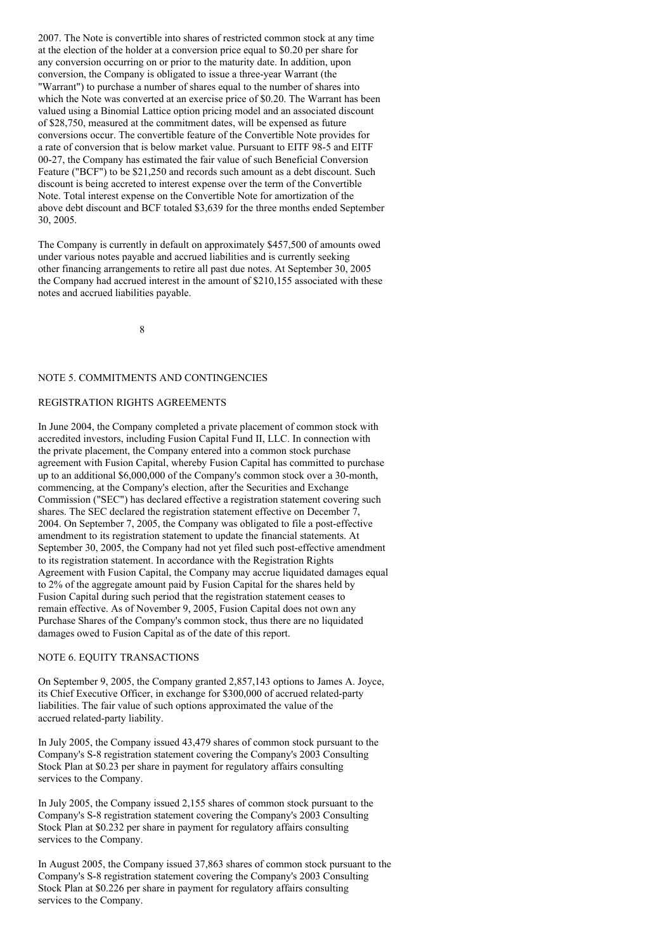2007. The Note is convertible into shares of restricted common stock at any time at the election of the holder at a conversion price equal to \$0.20 per share for any conversion occurring on or prior to the maturity date. In addition, upon conversion, the Company is obligated to issue a three-year Warrant (the "Warrant") to purchase a number of shares equal to the number of shares into which the Note was converted at an exercise price of \$0.20. The Warrant has been valued using a Binomial Lattice option pricing model and an associated discount of \$28,750, measured at the commitment dates, will be expensed as future conversions occur. The convertible feature of the Convertible Note provides for a rate of conversion that is below market value. Pursuant to EITF  $98-5$  and EITF 00-27, the Company has estimated the fair value of such Beneficial Conversion Feature ("BCF") to be \$21,250 and records such amount as a debt discount. Such discount is being accreted to interest expense over the term of the Convertible Note. Total interest expense on the Convertible Note for amortization of the above debt discount and BCF totaled \$3,639 for the three months ended September 30, 2005.

The Company is currently in default on approximately \$457,500 of amounts owed under various notes payable and accrued liabilities and is currently seeking other financing arrangements to retire all past due notes. At September 30, 2005 the Company had accrued interest in the amount of \$210,155 associated with these notes and accrued liabilities payable.

8

#### NOTE 5. COMMITMENTS AND CONTINGENCIES

#### REGISTRATION RIGHTS AGREEMENTS

In June 2004, the Company completed a private placement of common stock with accredited investors, including Fusion Capital Fund II, LLC. In connection with the private placement, the Company entered into a common stock purchase agreement with Fusion Capital, whereby Fusion Capital has committed to purchase up to an additional \$6,000,000 of the Company's common stock over a 30-month, commencing, at the Company's election, after the Securities and Exchange Commission ("SEC") has declared effective a registration statement covering such shares. The SEC declared the registration statement effective on December 7, 2004. On September 7, 2005, the Company was obligated to file a post-effective amendment to its registration statement to update the financial statements. At September 30, 2005, the Company had not yet filed such post-effective amendment to its registration statement. In accordance with the Registration Rights Agreement with Fusion Capital, the Company may accrue liquidated damages equal to 2% of the aggregate amount paid by Fusion Capital for the shares held by Fusion Capital during such period that the registration statement ceases to remain effective. As of November 9, 2005, Fusion Capital does not own any Purchase Shares of the Company's common stock, thus there are no liquidated damages owed to Fusion Capital as of the date of this report.

#### NOTE 6. EQUITY TRANSACTIONS

On September 9, 2005, the Company granted 2,857,143 options to James A. Joyce, its Chief Executive Officer, in exchange for \$300,000 of accrued related-party liabilities. The fair value of such options approximated the value of the accrued related-party liability.

In July 2005, the Company issued 43,479 shares of common stock pursuant to the Company's S-8 registration statement covering the Company's 2003 Consulting Stock Plan at \$0.23 per share in payment for regulatory affairs consulting services to the Company.

In July 2005, the Company issued 2,155 shares of common stock pursuant to the Company's S-8 registration statement covering the Company's 2003 Consulting Stock Plan at \$0.232 per share in payment for regulatory affairs consulting services to the Company.

In August 2005, the Company issued 37,863 shares of common stock pursuant to the Company's S-8 registration statement covering the Company's 2003 Consulting Stock Plan at \$0.226 per share in payment for regulatory affairs consulting services to the Company.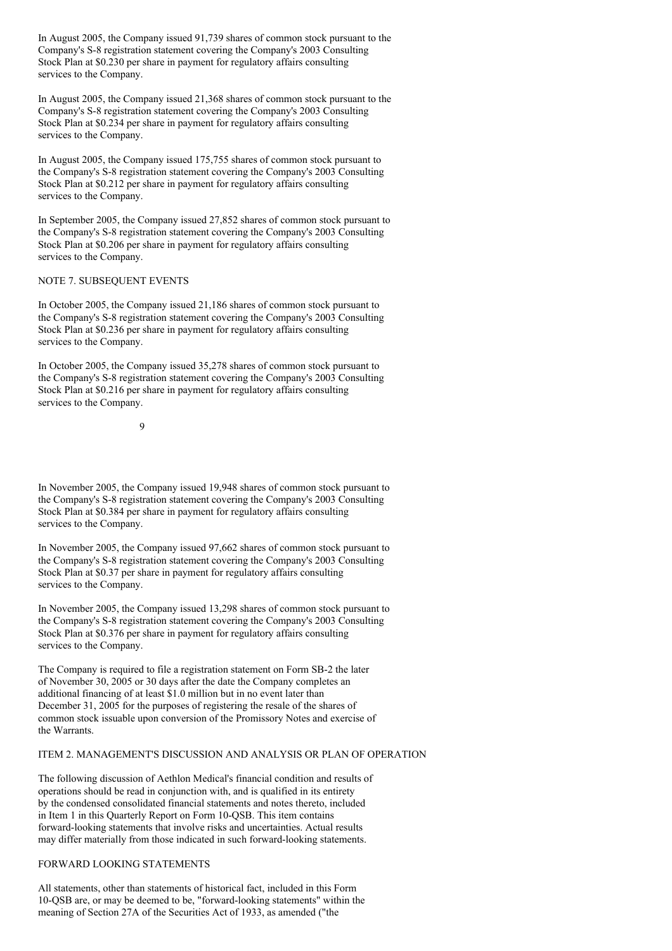In August 2005, the Company issued 91,739 shares of common stock pursuant to the Company's S-8 registration statement covering the Company's 2003 Consulting Stock Plan at \$0.230 per share in payment for regulatory affairs consulting services to the Company.

In August 2005, the Company issued 21,368 shares of common stock pursuant to the Company's S-8 registration statement covering the Company's 2003 Consulting Stock Plan at \$0.234 per share in payment for regulatory affairs consulting services to the Company.

In August 2005, the Company issued 175,755 shares of common stock pursuant to the Company's S-8 registration statement covering the Company's 2003 Consulting Stock Plan at \$0.212 per share in payment for regulatory affairs consulting services to the Company.

In September 2005, the Company issued 27,852 shares of common stock pursuant to the Company's S-8 registration statement covering the Company's 2003 Consulting Stock Plan at \$0.206 per share in payment for regulatory affairs consulting services to the Company.

#### NOTE 7. SUBSEQUENT EVENTS

In October 2005, the Company issued 21,186 shares of common stock pursuant to the Company's S-8 registration statement covering the Company's 2003 Consulting Stock Plan at \$0.236 per share in payment for regulatory affairs consulting services to the Company.

In October 2005, the Company issued 35,278 shares of common stock pursuant to the Company's S-8 registration statement covering the Company's 2003 Consulting Stock Plan at \$0.216 per share in payment for regulatory affairs consulting services to the Company.

 $\overline{Q}$ 

In November 2005, the Company issued 19,948 shares of common stock pursuant to the Company's S-8 registration statement covering the Company's 2003 Consulting Stock Plan at \$0.384 per share in payment for regulatory affairs consulting services to the Company.

In November 2005, the Company issued 97,662 shares of common stock pursuant to the Company's S-8 registration statement covering the Company's 2003 Consulting Stock Plan at \$0.37 per share in payment for regulatory affairs consulting services to the Company.

In November 2005, the Company issued 13,298 shares of common stock pursuant to the Company's S-8 registration statement covering the Company's 2003 Consulting Stock Plan at \$0.376 per share in payment for regulatory affairs consulting services to the Company.

The Company is required to file a registration statement on Form SB-2 the later of November 30, 2005 or 30 days after the date the Company completes an additional financing of at least \$1.0 million but in no event later than December 31, 2005 for the purposes of registering the resale of the shares of common stock issuable upon conversion of the Promissory Notes and exercise of the Warrants.

#### ITEM 2. MANAGEMENT'S DISCUSSION AND ANALYSIS OR PLAN OF OPERATION

The following discussion of Aethlon Medical's financial condition and results of operations should be read in conjunction with, and is qualified in its entirety by the condensed consolidated financial statements and notes thereto, included in Item 1 in this Quarterly Report on Form 10-QSB. This item contains forward-looking statements that involve risks and uncertainties. Actual results may differ materially from those indicated in such forward-looking statements.

## FORWARD LOOKING STATEMENTS

All statements, other than statements of historical fact, included in this Form 10-QSB are, or may be deemed to be, "forward-looking statements" within the meaning of Section 27A of the Securities Act of 1933, as amended ("the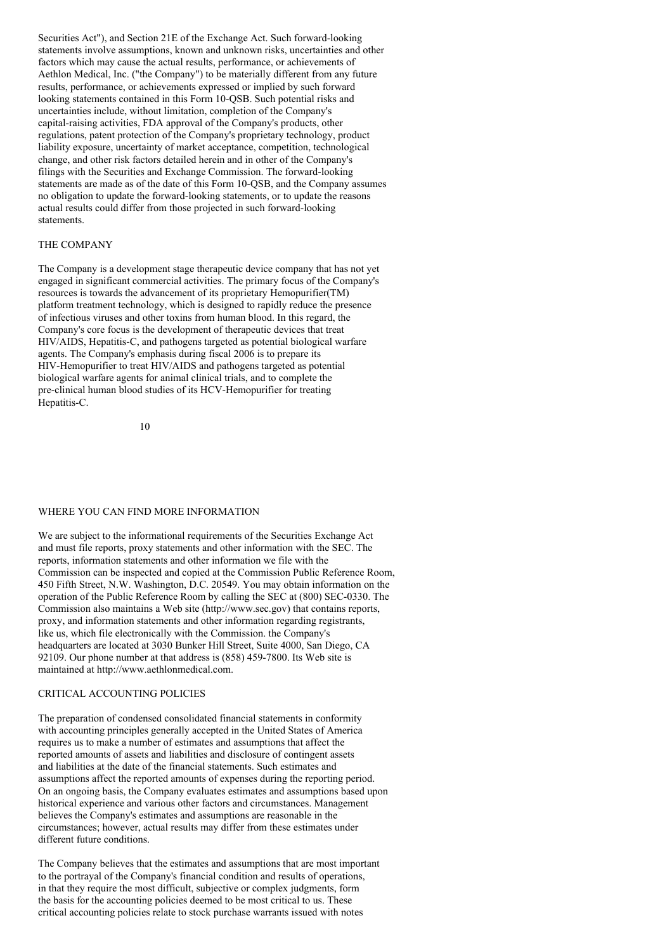Securities Act"), and Section 21E of the Exchange Act. Such forward-looking statements involve assumptions, known and unknown risks, uncertainties and other factors which may cause the actual results, performance, or achievements of Aethlon Medical, Inc. ("the Company") to be materially different from any future results, performance, or achievements expressed or implied by such forward looking statements contained in this Form 10-QSB. Such potential risks and uncertainties include, without limitation, completion of the Company's capital-raising activities, FDA approval of the Company's products, other regulations, patent protection of the Company's proprietary technology, product liability exposure, uncertainty of market acceptance, competition, technological change, and other risk factors detailed herein and in other of the Company's filings with the Securities and Exchange Commission. The forward-looking statements are made as of the date of this Form 10-QSB, and the Company assumes no obligation to update the forward-looking statements, or to update the reasons actual results could differ from those projected in such forward-looking statements.

## THE COMPANY

The Company is a development stage therapeutic device company that has not yet engaged in significant commercial activities. The primary focus of the Company's resources is towards the advancement of its proprietary Hemopurifier(TM) platform treatment technology, which is designed to rapidly reduce the presence of infectious viruses and other toxins from human blood. In this regard, the Company's core focus is the development of therapeutic devices that treat HIV/AIDS, Hepatitis-C, and pathogens targeted as potential biological warfare agents. The Company's emphasis during fiscal 2006 is to prepare its HIV-Hemopurifier to treat HIV/AIDS and pathogens targeted as potential biological warfare agents for animal clinical trials, and to complete the pre-clinical human blood studies of its HCV-Hemopurifier for treating Hepatitis-C.

10

#### WHERE YOU CAN FIND MORE INFORMATION

We are subject to the informational requirements of the Securities Exchange Act and must file reports, proxy statements and other information with the SEC. The reports, information statements and other information we file with the Commission can be inspected and copied at the Commission Public Reference Room, 450 Fifth Street, N.W. Washington, D.C. 20549. You may obtain information on the operation of the Public Reference Room by calling the SEC at (800) SEC-0330. The Commission also maintains a Web site (http://www.sec.gov) that contains reports, proxy, and information statements and other information regarding registrants, like us, which file electronically with the Commission. the Company's headquarters are located at 3030 Bunker Hill Street, Suite 4000, San Diego, CA 92109. Our phone number at that address is (858) 459-7800. Its Web site is maintained at http://www.aethlonmedical.com.

#### CRITICAL ACCOUNTING POLICIES

The preparation of condensed consolidated financial statements in conformity with accounting principles generally accepted in the United States of America requires us to make a number of estimates and assumptions that affect the reported amounts of assets and liabilities and disclosure of contingent assets and liabilities at the date of the financial statements. Such estimates and assumptions affect the reported amounts of expenses during the reporting period. On an ongoing basis, the Company evaluates estimates and assumptions based upon historical experience and various other factors and circumstances. Management believes the Company's estimates and assumptions are reasonable in the circumstances; however, actual results may differ from these estimates under different future conditions.

The Company believes that the estimates and assumptions that are most important to the portrayal of the Company's financial condition and results of operations, in that they require the most difficult, subjective or complex judgments, form the basis for the accounting policies deemed to be most critical to us. These critical accounting policies relate to stock purchase warrants issued with notes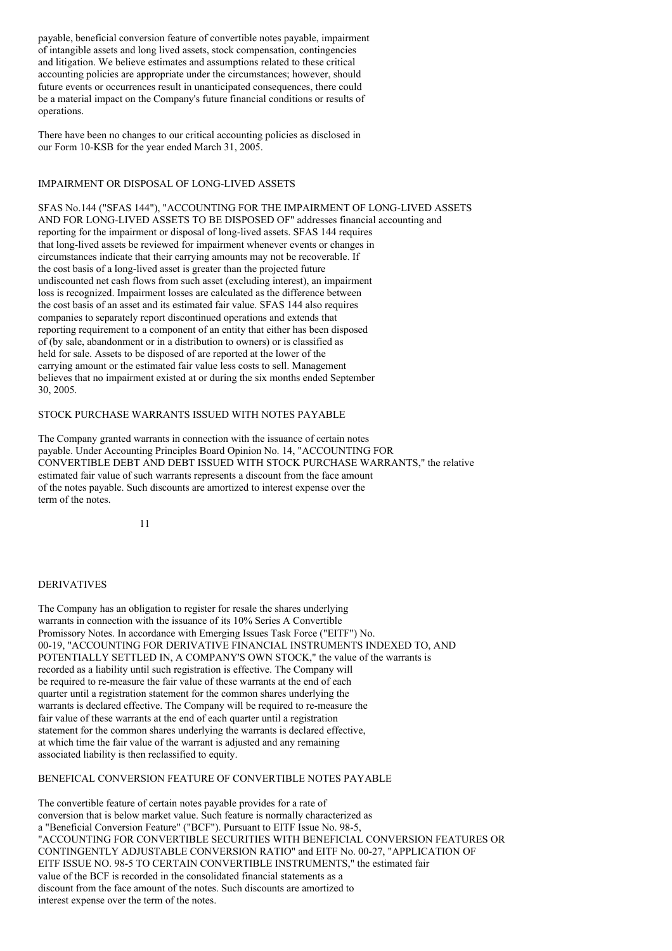payable, beneficial conversion feature of convertible notes payable, impairment of intangible assets and long lived assets, stock compensation, contingencies and litigation. We believe estimates and assumptions related to these critical accounting policies are appropriate under the circumstances; however, should future events or occurrences result in unanticipated consequences, there could be a material impact on the Company's future financial conditions or results of operations.

There have been no changes to our critical accounting policies as disclosed in our Form 10-KSB for the year ended March 31, 2005.

## IMPAIRMENT OR DISPOSAL OF LONG-LIVED ASSETS

SFAS No.144 ("SFAS 144"), "ACCOUNTING FOR THE IMPAIRMENT OF LONG-LIVED ASSETS AND FOR LONG-LIVED ASSETS TO BE DISPOSED OF" addresses financial accounting and reporting for the impairment or disposal of long-lived assets. SFAS 144 requires that long-lived assets be reviewed for impairment whenever events or changes in circumstances indicate that their carrying amounts may not be recoverable. If the cost basis of a long-lived asset is greater than the projected future undiscounted net cash flows from such asset (excluding interest), an impairment loss is recognized. Impairment losses are calculated as the difference between the cost basis of an asset and its estimated fair value. SFAS 144 also requires companies to separately report discontinued operations and extends that reporting requirement to a component of an entity that either has been disposed of (by sale, abandonment or in a distribution to owners) or is classified as held for sale. Assets to be disposed of are reported at the lower of the carrying amount or the estimated fair value less costs to sell. Management believes that no impairment existed at or during the six months ended September 30, 2005.

# STOCK PURCHASE WARRANTS ISSUED WITH NOTES PAYABLE

The Company granted warrants in connection with the issuance of certain notes payable. Under Accounting Principles Board Opinion No. 14, "ACCOUNTING FOR CONVERTIBLE DEBT AND DEBT ISSUED WITH STOCK PURCHASE WARRANTS," the relative estimated fair value of such warrants represents a discount from the face amount of the notes payable. Such discounts are amortized to interest expense over the term of the notes.

11

## DERIVATIVES

The Company has an obligation to register for resale the shares underlying warrants in connection with the issuance of its 10% Series A Convertible Promissory Notes. In accordance with Emerging Issues Task Force ("EITF") No. 00-19, "ACCOUNTING FOR DERIVATIVE FINANCIAL INSTRUMENTS INDEXED TO, AND POTENTIALLY SETTLED IN, A COMPANY'S OWN STOCK," the value of the warrants is recorded as a liability until such registration is effective. The Company will be required to re-measure the fair value of these warrants at the end of each quarter until a registration statement for the common shares underlying the warrants is declared effective. The Company will be required to re-measure the fair value of these warrants at the end of each quarter until a registration statement for the common shares underlying the warrants is declared effective, at which time the fair value of the warrant is adjusted and any remaining associated liability is then reclassified to equity.

## BENEFICAL CONVERSION FEATURE OF CONVERTIBLE NOTES PAYABLE

The convertible feature of certain notes payable provides for a rate of conversion that is below market value. Such feature is normally characterized as a "Beneficial Conversion Feature" ("BCF"). Pursuant to EITF Issue No. 98-5, "ACCOUNTING FOR CONVERTIBLE SECURITIES WITH BENEFICIAL CONVERSION FEATURES OR CONTINGENTLY ADJUSTABLE CONVERSION RATIO" and EITF No. 00-27, "APPLICATION OF EITF ISSUE NO. 98-5 TO CERTAIN CONVERTIBLE INSTRUMENTS," the estimated fair value of the BCF is recorded in the consolidated financial statements as a discount from the face amount of the notes. Such discounts are amortized to interest expense over the term of the notes.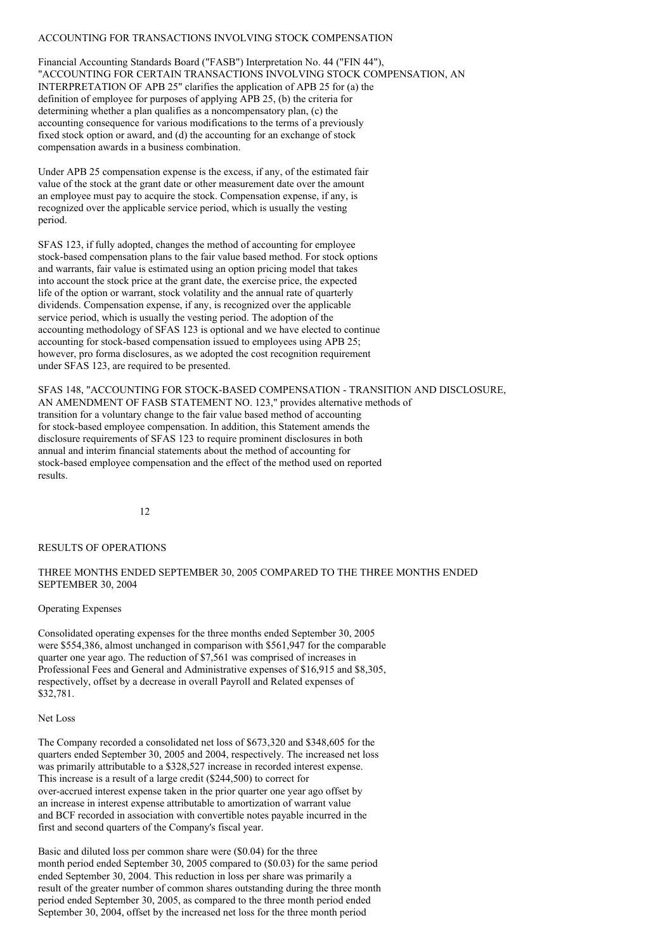#### ACCOUNTING FOR TRANSACTIONS INVOLVING STOCK COMPENSATION

Financial Accounting Standards Board ("FASB") Interpretation No. 44 ("FIN 44"), "ACCOUNTING FOR CERTAIN TRANSACTIONS INVOLVING STOCK COMPENSATION, AN INTERPRETATION OF APB 25" clarifies the application of APB 25 for (a) the definition of employee for purposes of applying APB 25, (b) the criteria for determining whether a plan qualifies as a noncompensatory plan, (c) the accounting consequence for various modifications to the terms of a previously fixed stock option or award, and (d) the accounting for an exchange of stock compensation awards in a business combination.

Under APB 25 compensation expense is the excess, if any, of the estimated fair value of the stock at the grant date or other measurement date over the amount an employee must pay to acquire the stock. Compensation expense, if any, is recognized over the applicable service period, which is usually the vesting period.

SFAS 123, if fully adopted, changes the method of accounting for employee stock-based compensation plans to the fair value based method. For stock options and warrants, fair value is estimated using an option pricing model that takes into account the stock price at the grant date, the exercise price, the expected life of the option or warrant, stock volatility and the annual rate of quarterly dividends. Compensation expense, if any, is recognized over the applicable service period, which is usually the vesting period. The adoption of the accounting methodology of SFAS 123 is optional and we have elected to continue accounting for stock-based compensation issued to employees using APB 25; however, pro forma disclosures, as we adopted the cost recognition requirement under SFAS 123, are required to be presented.

SFAS 148, "ACCOUNTING FOR STOCK-BASED COMPENSATION - TRANSITION AND DISCLOSURE, AN AMENDMENT OF FASB STATEMENT NO. 123," provides alternative methods of transition for a voluntary change to the fair value based method of accounting for stock-based employee compensation. In addition, this Statement amends the disclosure requirements of SFAS 123 to require prominent disclosures in both annual and interim financial statements about the method of accounting for stock-based employee compensation and the effect of the method used on reported results.

12

## RESULTS OF OPERATIONS

## THREE MONTHS ENDED SEPTEMBER 30, 2005 COMPARED TO THE THREE MONTHS ENDED SEPTEMBER 30, 2004

#### Operating Expenses

Consolidated operating expenses for the three months ended September 30, 2005 were \$554,386, almost unchanged in comparison with \$561,947 for the comparable quarter one year ago. The reduction of \$7,561 was comprised of increases in Professional Fees and General and Administrative expenses of \$16,915 and \$8,305, respectively, offset by a decrease in overall Payroll and Related expenses of \$32,781.

#### Net Loss

The Company recorded a consolidated net loss of \$673,320 and \$348,605 for the quarters ended September 30, 2005 and 2004, respectively. The increased net loss was primarily attributable to a \$328,527 increase in recorded interest expense. This increase is a result of a large credit (\$244,500) to correct for over-accrued interest expense taken in the prior quarter one year ago offset by an increase in interest expense attributable to amortization of warrant value and BCF recorded in association with convertible notes payable incurred in the first and second quarters of the Company's fiscal year.

Basic and diluted loss per common share were (\$0.04) for the three month period ended September 30, 2005 compared to (\$0.03) for the same period ended September 30, 2004. This reduction in loss per share was primarily a result of the greater number of common shares outstanding during the three month period ended September 30, 2005, as compared to the three month period ended September 30, 2004, offset by the increased net loss for the three month period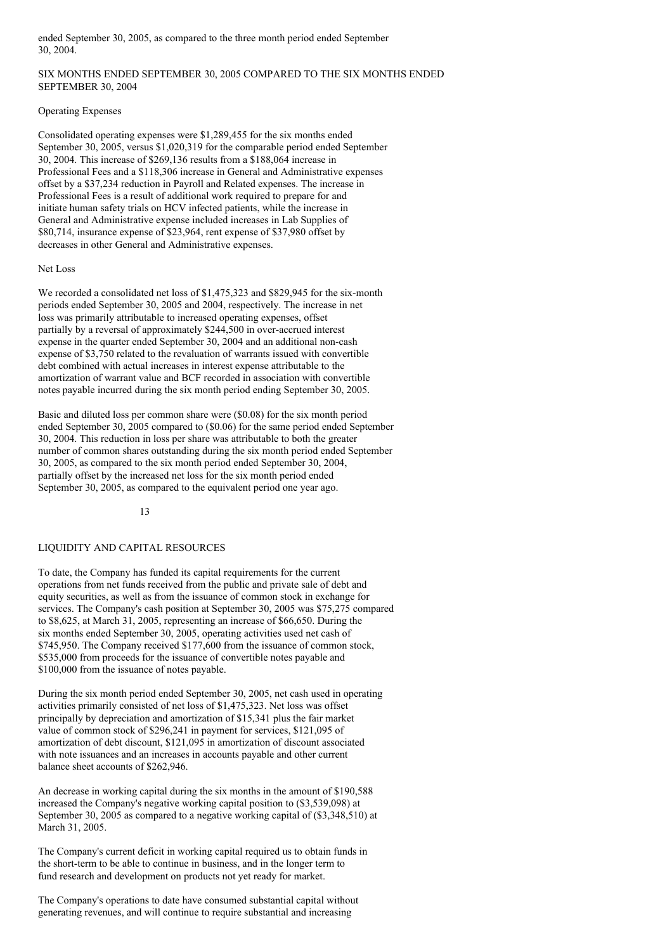ended September 30, 2005, as compared to the three month period ended September 30, 2004.

## SIX MONTHS ENDED SEPTEMBER 30, 2005 COMPARED TO THE SIX MONTHS ENDED SEPTEMBER 30, 2004

## Operating Expenses

Consolidated operating expenses were \$1,289,455 for the six months ended September 30, 2005, versus \$1,020,319 for the comparable period ended September 30, 2004. This increase of \$269,136 results from a \$188,064 increase in Professional Fees and a \$118,306 increase in General and Administrative expenses offset by a \$37,234 reduction in Payroll and Related expenses. The increase in Professional Fees is a result of additional work required to prepare for and initiate human safety trials on HCV infected patients, while the increase in General and Administrative expense included increases in Lab Supplies of \$80,714, insurance expense of \$23,964, rent expense of \$37,980 offset by decreases in other General and Administrative expenses.

#### Net Loss

We recorded a consolidated net loss of \$1,475,323 and \$829,945 for the six-month periods ended September 30, 2005 and 2004, respectively. The increase in net loss was primarily attributable to increased operating expenses, offset partially by a reversal of approximately \$244,500 in over-accrued interest expense in the quarter ended September 30, 2004 and an additional non-cash expense of \$3,750 related to the revaluation of warrants issued with convertible debt combined with actual increases in interest expense attributable to the amortization of warrant value and BCF recorded in association with convertible notes payable incurred during the six month period ending September 30, 2005.

Basic and diluted loss per common share were (\$0.08) for the six month period ended September 30, 2005 compared to (\$0.06) for the same period ended September 30, 2004. This reduction in loss per share was attributable to both the greater number of common shares outstanding during the six month period ended September 30, 2005, as compared to the six month period ended September 30, 2004, partially offset by the increased net loss for the six month period ended September 30, 2005, as compared to the equivalent period one year ago.

## 13

#### LIQUIDITY AND CAPITAL RESOURCES

To date, the Company has funded its capital requirements for the current operations from net funds received from the public and private sale of debt and equity securities, as well as from the issuance of common stock in exchange for services. The Company's cash position at September 30, 2005 was \$75,275 compared to \$8,625, at March 31, 2005, representing an increase of \$66,650. During the six months ended September 30, 2005, operating activities used net cash of \$745,950. The Company received \$177,600 from the issuance of common stock, \$535,000 from proceeds for the issuance of convertible notes payable and \$100,000 from the issuance of notes payable.

During the six month period ended September 30, 2005, net cash used in operating activities primarily consisted of net loss of \$1,475,323. Net loss was offset principally by depreciation and amortization of \$15,341 plus the fair market value of common stock of \$296,241 in payment for services, \$121,095 of amortization of debt discount, \$121,095 in amortization of discount associated with note issuances and an increases in accounts payable and other current balance sheet accounts of \$262,946.

An decrease in working capital during the six months in the amount of \$190,588 increased the Company's negative working capital position to (\$3,539,098) at September 30, 2005 as compared to a negative working capital of (\$3,348,510) at March 31, 2005.

The Company's current deficit in working capital required us to obtain funds in the short-term to be able to continue in business, and in the longer term to fund research and development on products not yet ready for market.

The Company's operations to date have consumed substantial capital without generating revenues, and will continue to require substantial and increasing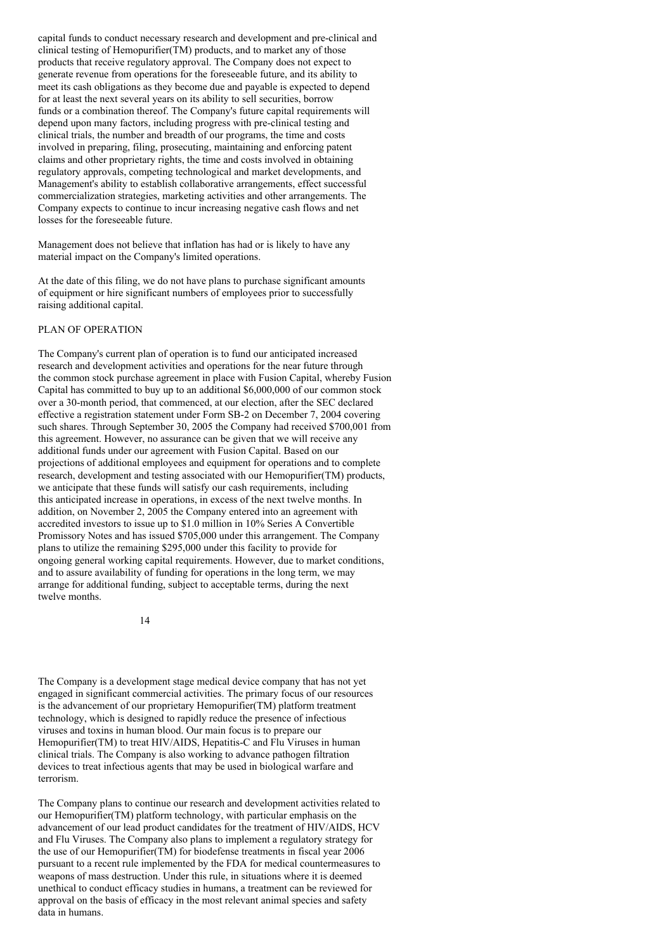capital funds to conduct necessary research and development and pre-clinical and clinical testing of Hemopurifier(TM) products, and to market any of those products that receive regulatory approval. The Company does not expect to generate revenue from operations for the foreseeable future, and its ability to meet its cash obligations as they become due and payable is expected to depend for at least the next several years on its ability to sell securities, borrow funds or a combination thereof. The Company's future capital requirements will depend upon many factors, including progress with pre-clinical testing and clinical trials, the number and breadth of our programs, the time and costs involved in preparing, filing, prosecuting, maintaining and enforcing patent claims and other proprietary rights, the time and costs involved in obtaining regulatory approvals, competing technological and market developments, and Management's ability to establish collaborative arrangements, effect successful commercialization strategies, marketing activities and other arrangements. The Company expects to continue to incur increasing negative cash flows and net losses for the foreseeable future.

Management does not believe that inflation has had or is likely to have any material impact on the Company's limited operations.

At the date of this filing, we do not have plans to purchase significant amounts of equipment or hire significant numbers of employees prior to successfully raising additional capital.

## PLAN OF OPERATION

The Company's current plan of operation is to fund our anticipated increased research and development activities and operations for the near future through the common stock purchase agreement in place with Fusion Capital, whereby Fusion Capital has committed to buy up to an additional \$6,000,000 of our common stock over a 30-month period, that commenced, at our election, after the SEC declared effective a registration statement under Form SB-2 on December 7, 2004 covering such shares. Through September 30, 2005 the Company had received \$700,001 from this agreement. However, no assurance can be given that we will receive any additional funds under our agreement with Fusion Capital. Based on our projections of additional employees and equipment for operations and to complete research, development and testing associated with our Hemopurifier(TM) products, we anticipate that these funds will satisfy our cash requirements, including this anticipated increase in operations, in excess of the next twelve months. In addition, on November 2, 2005 the Company entered into an agreement with accredited investors to issue up to \$1.0 million in 10% Series A Convertible Promissory Notes and has issued \$705,000 under this arrangement. The Company plans to utilize the remaining \$295,000 under this facility to provide for ongoing general working capital requirements. However, due to market conditions, and to assure availability of funding for operations in the long term, we may arrange for additional funding, subject to acceptable terms, during the next twelve months.

14

The Company is a development stage medical device company that has not yet engaged in significant commercial activities. The primary focus of our resources is the advancement of our proprietary Hemopurifier(TM) platform treatment technology, which is designed to rapidly reduce the presence of infectious viruses and toxins in human blood. Our main focus is to prepare our Hemopurifier(TM) to treat HIV/AIDS, Hepatitis-C and Flu Viruses in human clinical trials. The Company is also working to advance pathogen filtration devices to treat infectious agents that may be used in biological warfare and terrorism.

The Company plans to continue our research and development activities related to our Hemopurifier(TM) platform technology, with particular emphasis on the advancement of our lead product candidates for the treatment of HIV/AIDS, HCV and Flu Viruses. The Company also plans to implement a regulatory strategy for the use of our Hemopurifier(TM) for biodefense treatments in fiscal year 2006 pursuant to a recent rule implemented by the FDA for medical countermeasures to weapons of mass destruction. Under this rule, in situations where it is deemed unethical to conduct efficacy studies in humans, a treatment can be reviewed for approval on the basis of efficacy in the most relevant animal species and safety data in humans.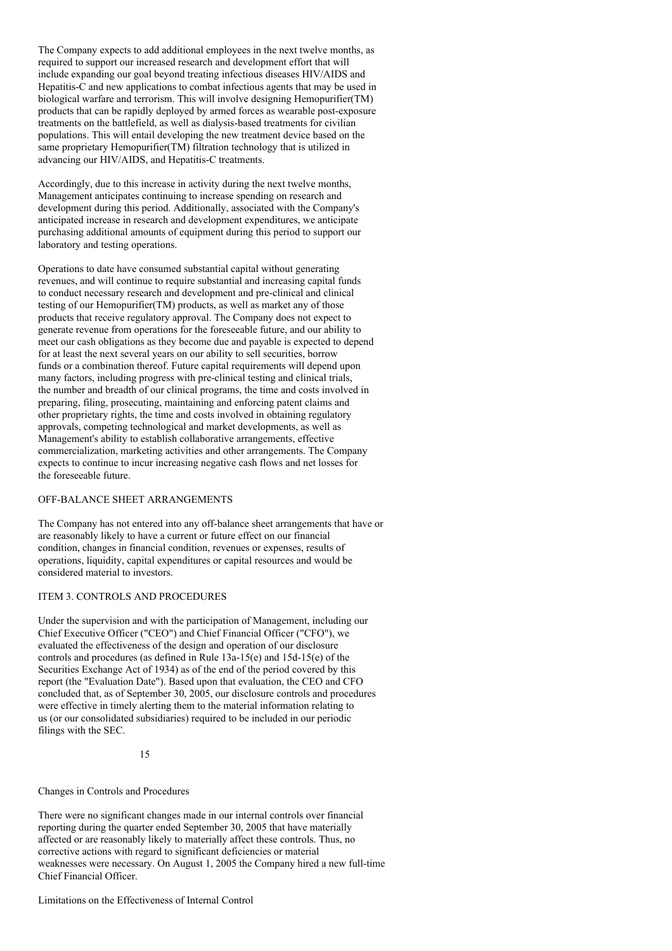The Company expects to add additional employees in the next twelve months, as required to support our increased research and development effort that will include expanding our goal beyond treating infectious diseases HIV/AIDS and Hepatitis-C and new applications to combat infectious agents that may be used in biological warfare and terrorism. This will involve designing Hemopurifier(TM) products that can be rapidly deployed by armed forces as wearable post-exposure treatments on the battlefield, as well as dialysis-based treatments for civilian populations. This will entail developing the new treatment device based on the same proprietary Hemopurifier(TM) filtration technology that is utilized in advancing our HIV/AIDS, and Hepatitis-C treatments.

Accordingly, due to this increase in activity during the next twelve months, Management anticipates continuing to increase spending on research and development during this period. Additionally, associated with the Company's anticipated increase in research and development expenditures, we anticipate purchasing additional amounts of equipment during this period to support our laboratory and testing operations.

Operations to date have consumed substantial capital without generating revenues, and will continue to require substantial and increasing capital funds to conduct necessary research and development and pre-clinical and clinical testing of our Hemopurifier(TM) products, as well as market any of those products that receive regulatory approval. The Company does not expect to generate revenue from operations for the foreseeable future, and our ability to meet our cash obligations as they become due and payable is expected to depend for at least the next several years on our ability to sell securities, borrow funds or a combination thereof. Future capital requirements will depend upon many factors, including progress with pre-clinical testing and clinical trials, the number and breadth of our clinical programs, the time and costs involved in preparing, filing, prosecuting, maintaining and enforcing patent claims and other proprietary rights, the time and costs involved in obtaining regulatory approvals, competing technological and market developments, as well as Management's ability to establish collaborative arrangements, effective commercialization, marketing activities and other arrangements. The Company expects to continue to incur increasing negative cash flows and net losses for the foreseeable future.

### OFF-BALANCE SHEET ARRANGEMENTS

The Company has not entered into any off-balance sheet arrangements that have or are reasonably likely to have a current or future effect on our financial condition, changes in financial condition, revenues or expenses, results of operations, liquidity, capital expenditures or capital resources and would be considered material to investors.

#### ITEM 3. CONTROLS AND PROCEDURES

Under the supervision and with the participation of Management, including our Chief Executive Officer ("CEO") and Chief Financial Officer ("CFO"), we evaluated the effectiveness of the design and operation of our disclosure controls and procedures (as defined in Rule 13a-15(e) and 15d-15(e) of the Securities Exchange Act of 1934) as of the end of the period covered by this report (the "Evaluation Date"). Based upon that evaluation, the CEO and CFO concluded that, as of September 30, 2005, our disclosure controls and procedures were effective in timely alerting them to the material information relating to us (or our consolidated subsidiaries) required to be included in our periodic filings with the SEC.

15

Changes in Controls and Procedures

There were no significant changes made in our internal controls over financial reporting during the quarter ended September 30, 2005 that have materially affected or are reasonably likely to materially affect these controls. Thus, no corrective actions with regard to significant deficiencies or material weaknesses were necessary. On August 1, 2005 the Company hired a new full-time Chief Financial Officer.

Limitations on the Effectiveness of Internal Control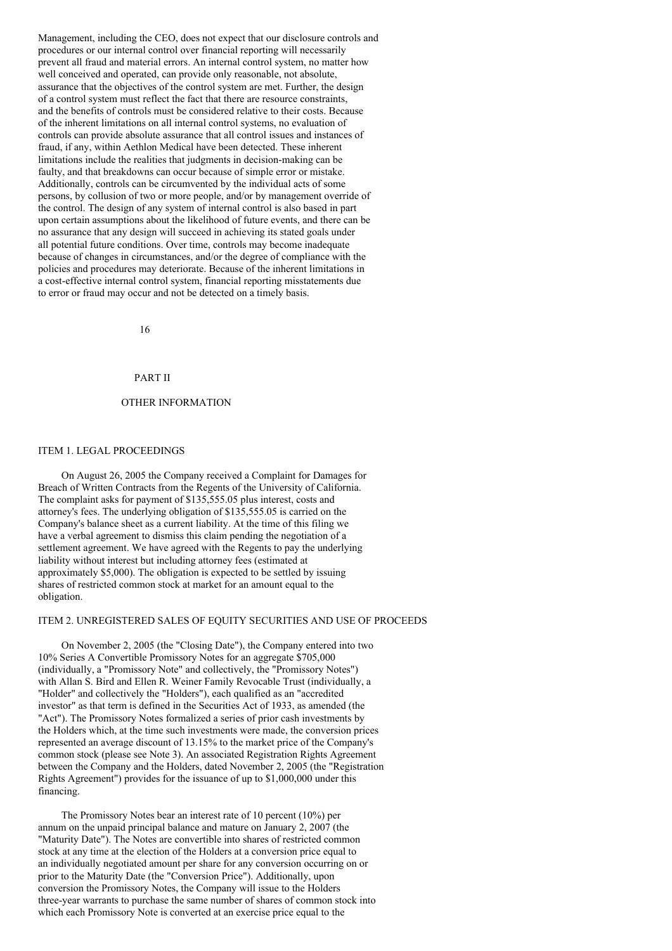Management, including the CEO, does not expect that our disclosure controls and procedures or our internal control over financial reporting will necessarily prevent all fraud and material errors. An internal control system, no matter how well conceived and operated, can provide only reasonable, not absolute, assurance that the objectives of the control system are met. Further, the design of a control system must reflect the fact that there are resource constraints, and the benefits of controls must be considered relative to their costs. Because of the inherent limitations on all internal control systems, no evaluation of controls can provide absolute assurance that all control issues and instances of fraud, if any, within Aethlon Medical have been detected. These inherent limitations include the realities that judgments in decision-making can be faulty, and that breakdowns can occur because of simple error or mistake. Additionally, controls can be circumvented by the individual acts of some persons, by collusion of two or more people, and/or by management override of the control. The design of any system of internal control is also based in part upon certain assumptions about the likelihood of future events, and there can be no assurance that any design will succeed in achieving its stated goals under all potential future conditions. Over time, controls may become inadequate because of changes in circumstances, and/or the degree of compliance with the policies and procedures may deteriorate. Because of the inherent limitations in a cost-effective internal control system, financial reporting misstatements due to error or fraud may occur and not be detected on a timely basis.

16

## PART II

#### OTHER INFORMATION

#### ITEM 1. LEGAL PROCEEDINGS

On August 26, 2005 the Company received a Complaint for Damages for Breach of Written Contracts from the Regents of the University of California. The complaint asks for payment of \$135,555.05 plus interest, costs and attorney's fees. The underlying obligation of \$135,555.05 is carried on the Company's balance sheet as a current liability. At the time of this filing we have a verbal agreement to dismiss this claim pending the negotiation of a settlement agreement. We have agreed with the Regents to pay the underlying liability without interest but including attorney fees (estimated at approximately \$5,000). The obligation is expected to be settled by issuing shares of restricted common stock at market for an amount equal to the obligation.

#### ITEM 2. UNREGISTERED SALES OF EQUITY SECURITIES AND USE OF PROCEEDS

On November 2, 2005 (the "Closing Date"), the Company entered into two 10% Series A Convertible Promissory Notes for an aggregate \$705,000 (individually, a "Promissory Note" and collectively, the "Promissory Notes") with Allan S. Bird and Ellen R. Weiner Family Revocable Trust (individually, a "Holder" and collectively the "Holders"), each qualified as an "accredited investor" as that term is defined in the Securities Act of 1933, as amended (the "Act"). The Promissory Notes formalized a series of prior cash investments by the Holders which, at the time such investments were made, the conversion prices represented an average discount of 13.15% to the market price of the Company's common stock (please see Note 3). An associated Registration Rights Agreement between the Company and the Holders, dated November 2, 2005 (the "Registration Rights Agreement") provides for the issuance of up to \$1,000,000 under this financing.

The Promissory Notes bear an interest rate of 10 percent (10%) per annum on the unpaid principal balance and mature on January 2, 2007 (the "Maturity Date"). The Notes are convertible into shares of restricted common stock at any time at the election of the Holders at a conversion price equal to an individually negotiated amount per share for any conversion occurring on or prior to the Maturity Date (the "Conversion Price"). Additionally, upon conversion the Promissory Notes, the Company will issue to the Holders three-year warrants to purchase the same number of shares of common stock into which each Promissory Note is converted at an exercise price equal to the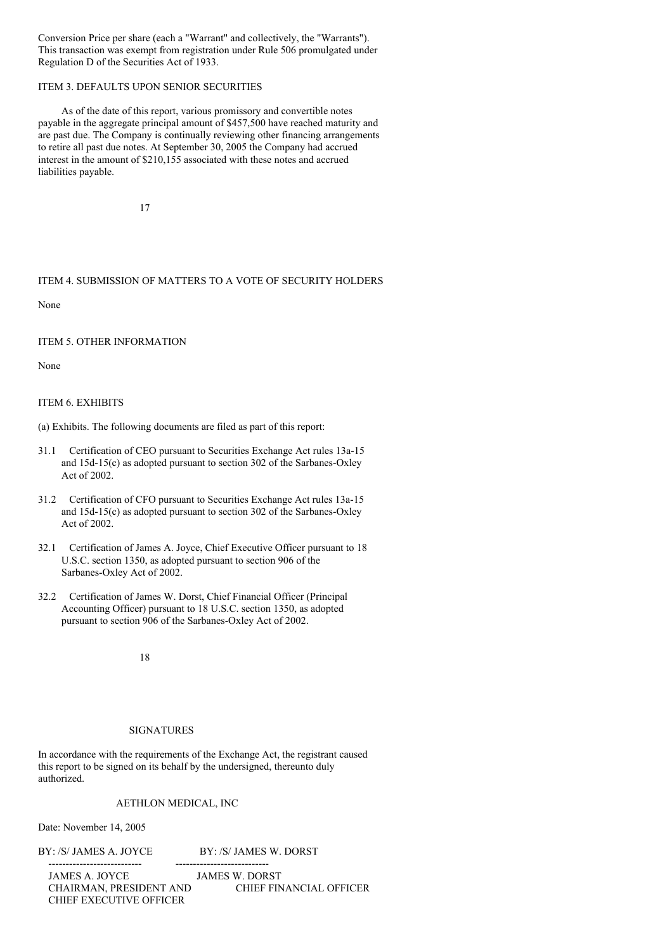Conversion Price per share (each a "Warrant" and collectively, the "Warrants"). This transaction was exempt from registration under Rule 506 promulgated under Regulation D of the Securities Act of 1933.

## ITEM 3. DEFAULTS UPON SENIOR SECURITIES

As of the date of this report, various promissory and convertible notes payable in the aggregate principal amount of \$457,500 have reached maturity and are past due. The Company is continually reviewing other financing arrangements to retire all past due notes. At September 30, 2005 the Company had accrued interest in the amount of \$210,155 associated with these notes and accrued liabilities payable.

17

# ITEM 4. SUBMISSION OF MATTERS TO A VOTE OF SECURITY HOLDERS

None

#### ITEM 5. OTHER INFORMATION

None

#### ITEM 6. EXHIBITS

(a) Exhibits. The following documents are filed as part of this report:

- 31.1 Certification of CEO pursuant to Securities Exchange Act rules 13a-15 and 15d-15(c) as adopted pursuant to section 302 of the Sarbanes-Oxley Act of 2002.
- 31.2 Certification of CFO pursuant to Securities Exchange Act rules 13a-15 and 15d-15(c) as adopted pursuant to section 302 of the Sarbanes-Oxley Act of 2002.
- 32.1 Certification of James A. Joyce, Chief Executive Officer pursuant to 18 U.S.C. section 1350, as adopted pursuant to section 906 of the Sarbanes-Oxley Act of 2002.
- 32.2 Certification of James W. Dorst, Chief Financial Officer (Principal Accounting Officer) pursuant to 18 U.S.C. section 1350, as adopted pursuant to section 906 of the Sarbanes-Oxley Act of 2002.

18

#### SIGNATURES

 $-$ 

In accordance with the requirements of the Exchange Act, the registrant caused this report to be signed on its behalf by the undersigned, thereunto duly authorized.

#### AETHLON MEDICAL, INC

Date: November 14, 2005

BY: /S/ JAMES A. JOYCE BY: /S/ JAMES W. DORST

JAMES A. JOYCE JAMES W. DORST CHAIRMAN, PRESIDENT AND CHIEF FINANCIAL OFFICER CHIEF EXECUTIVE OFFICER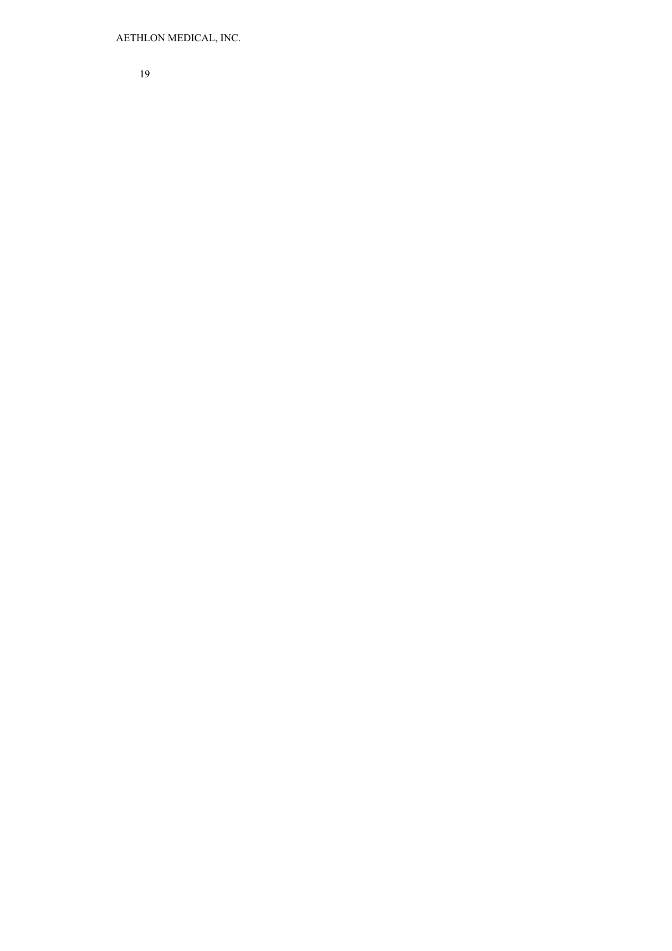AETHLON MEDICAL, INC.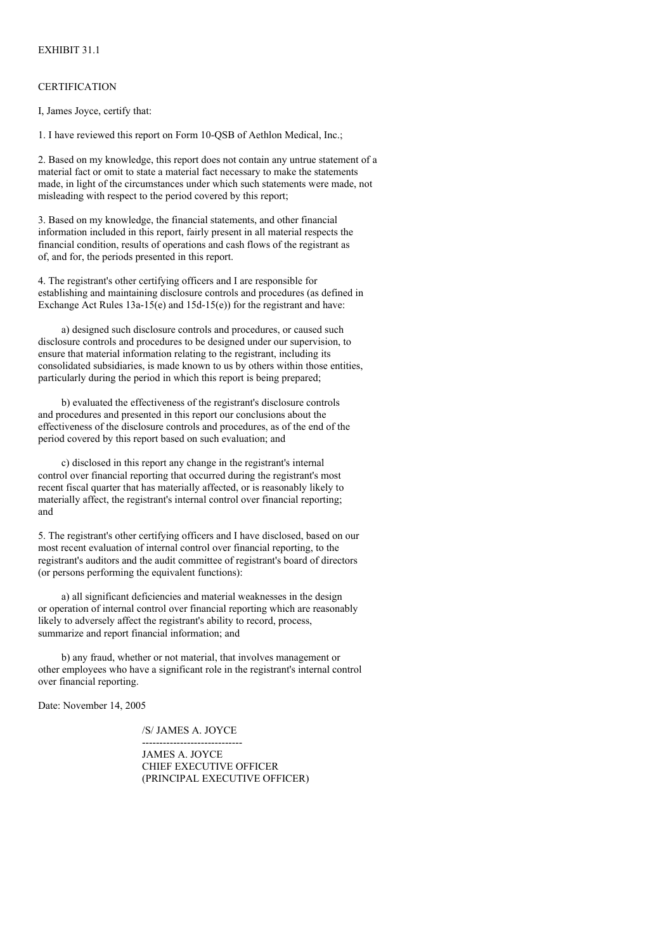#### EXHIBIT 31.1

#### **CERTIFICATION**

I, James Joyce, certify that:

1. I have reviewed this report on Form 10-QSB of Aethlon Medical, Inc.;

2. Based on my knowledge, this report does not contain any untrue statement of a material fact or omit to state a material fact necessary to make the statements made, in light of the circumstances under which such statements were made, not misleading with respect to the period covered by this report;

3. Based on my knowledge, the financial statements, and other financial information included in this report, fairly present in all material respects the financial condition, results of operations and cash flows of the registrant as of, and for, the periods presented in this report.

4. The registrant's other certifying officers and I are responsible for establishing and maintaining disclosure controls and procedures (as defined in Exchange Act Rules  $13a-15(e)$  and  $15d-15(e)$  for the registrant and have:

a) designed such disclosure controls and procedures, or caused such disclosure controls and procedures to be designed under our supervision, to ensure that material information relating to the registrant, including its consolidated subsidiaries, is made known to us by others within those entities, particularly during the period in which this report is being prepared;

b) evaluated the effectiveness of the registrant's disclosure controls and procedures and presented in this report our conclusions about the effectiveness of the disclosure controls and procedures, as of the end of the period covered by this report based on such evaluation; and

c) disclosed in this report any change in the registrant's internal control over financial reporting that occurred during the registrant's most recent fiscal quarter that has materially affected, or is reasonably likely to materially affect, the registrant's internal control over financial reporting; and

5. The registrant's other certifying officers and I have disclosed, based on our most recent evaluation of internal control over financial reporting, to the registrant's auditors and the audit committee of registrant's board of directors (or persons performing the equivalent functions):

a) all significant deficiencies and material weaknesses in the design or operation of internal control over financial reporting which are reasonably likely to adversely affect the registrant's ability to record, process, summarize and report financial information; and

b) any fraud, whether or not material, that involves management or other employees who have a significant role in the registrant's internal control over financial reporting.

Date: November 14, 2005

/S/ JAMES A. JOYCE -----------------------------

JAMES A. JOYCE CHIEF EXECUTIVE OFFICER (PRINCIPAL EXECUTIVE OFFICER)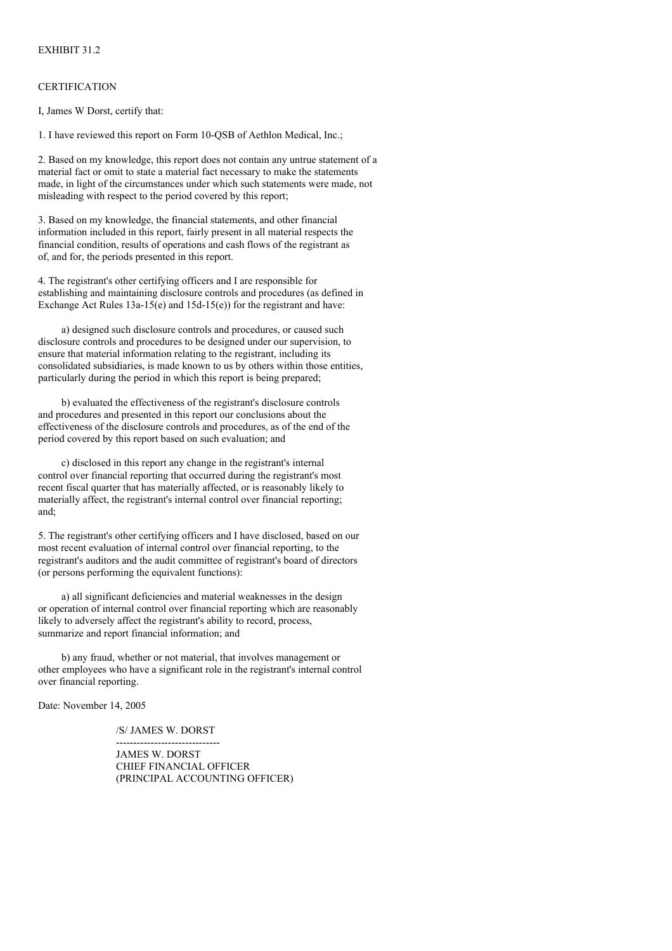#### EXHIBIT 31.2

#### **CERTIFICATION**

I, James W Dorst, certify that:

1. I have reviewed this report on Form 10-QSB of Aethlon Medical, Inc.;

2. Based on my knowledge, this report does not contain any untrue statement of a material fact or omit to state a material fact necessary to make the statements made, in light of the circumstances under which such statements were made, not misleading with respect to the period covered by this report;

3. Based on my knowledge, the financial statements, and other financial information included in this report, fairly present in all material respects the financial condition, results of operations and cash flows of the registrant as of, and for, the periods presented in this report.

4. The registrant's other certifying officers and I are responsible for establishing and maintaining disclosure controls and procedures (as defined in Exchange Act Rules  $13a-15(e)$  and  $15d-15(e)$  for the registrant and have:

a) designed such disclosure controls and procedures, or caused such disclosure controls and procedures to be designed under our supervision, to ensure that material information relating to the registrant, including its consolidated subsidiaries, is made known to us by others within those entities, particularly during the period in which this report is being prepared;

b) evaluated the effectiveness of the registrant's disclosure controls and procedures and presented in this report our conclusions about the effectiveness of the disclosure controls and procedures, as of the end of the period covered by this report based on such evaluation; and

c) disclosed in this report any change in the registrant's internal control over financial reporting that occurred during the registrant's most recent fiscal quarter that has materially affected, or is reasonably likely to materially affect, the registrant's internal control over financial reporting; and;

5. The registrant's other certifying officers and I have disclosed, based on our most recent evaluation of internal control over financial reporting, to the registrant's auditors and the audit committee of registrant's board of directors (or persons performing the equivalent functions):

a) all significant deficiencies and material weaknesses in the design or operation of internal control over financial reporting which are reasonably likely to adversely affect the registrant's ability to record, process, summarize and report financial information; and

b) any fraud, whether or not material, that involves management or other employees who have a significant role in the registrant's internal control over financial reporting.

Date: November 14, 2005

/S/ JAMES W. DORST ------------------------------

JAMES W. DORST CHIEF FINANCIAL OFFICER (PRINCIPAL ACCOUNTING OFFICER)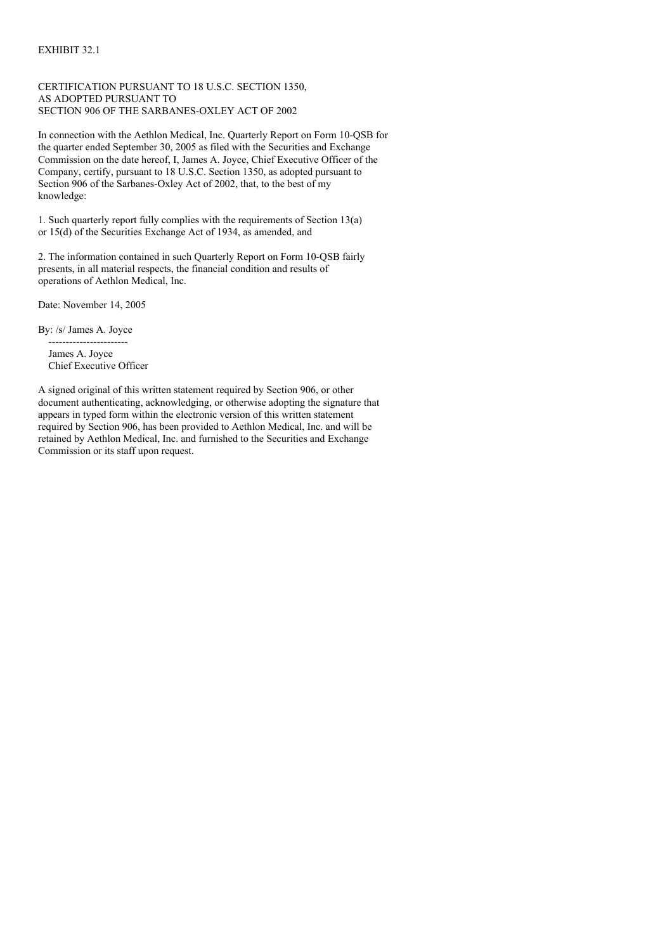#### EXHIBIT 32.1

## CERTIFICATION PURSUANT TO 18 U.S.C. SECTION 1350, AS ADOPTED PURSUANT TO SECTION 906 OF THE SARBANES-OXLEY ACT OF 2002

In connection with the Aethlon Medical, Inc. Quarterly Report on Form 10-QSB for the quarter ended September 30, 2005 as filed with the Securities and Exchange Commission on the date hereof, I, James A. Joyce, Chief Executive Officer of the Company, certify, pursuant to 18 U.S.C. Section 1350, as adopted pursuant to Section 906 of the Sarbanes-Oxley Act of 2002, that, to the best of my knowledge:

1. Such quarterly report fully complies with the requirements of Section 13(a) or 15(d) of the Securities Exchange Act of 1934, as amended, and

2. The information contained in such Quarterly Report on Form 10-QSB fairly presents, in all material respects, the financial condition and results of operations of Aethlon Medical, Inc.

Date: November 14, 2005

By: /s/ James A. Joyce

----------------------- James A. Joyce Chief Executive Officer

A signed original of this written statement required by Section 906, or other document authenticating, acknowledging, or otherwise adopting the signature that appears in typed form within the electronic version of this written statement required by Section 906, has been provided to Aethlon Medical, Inc. and will be retained by Aethlon Medical, Inc. and furnished to the Securities and Exchange Commission or its staff upon request.